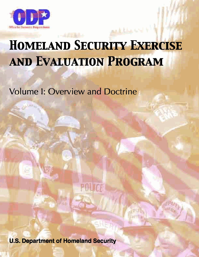

**R** ,

# **HOMELAND SECURITY EXERCISE AND EVALUATION PROGRAM**

POUICE

الوابعه ميلفظ

**1**<br>**P 1** *Dve* Volume I: Overview and Doctrine

**a. Department of Homeland Security**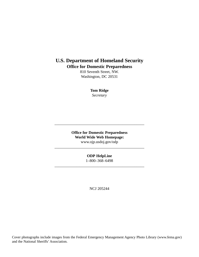# **U.S. Department of Homeland Security Office for Domestic Preparedness**

810 Seventh Street, NW. Washington, DC 20531

> **Tom Ridge**  *Secretary*

**Office for Domestic Preparedness World Wide Web Homepage:**  www.ojp.usdoj.gov/odp

\_\_\_\_\_\_\_\_\_\_\_\_\_\_\_\_\_\_\_\_\_\_\_\_\_\_\_\_\_\_\_\_\_\_\_\_\_\_\_\_\_\_\_\_\_\_

\_\_\_\_\_\_\_\_\_\_\_\_\_\_\_\_\_\_\_\_\_\_\_\_\_\_\_\_\_\_\_\_\_\_\_\_\_\_\_\_\_\_\_\_\_\_

#### **ODP HelpLine**

\_\_\_\_\_\_\_\_\_\_\_\_\_\_\_\_\_\_\_\_\_\_\_\_\_\_\_\_\_\_\_\_\_\_\_\_\_\_\_\_\_\_\_\_\_\_ 1–800–368–6498

NCJ 205244

Cover photographs include images from the Federal Emergency Management Agency Photo Library (www.fema.gov) and the National Sheriffs' Association.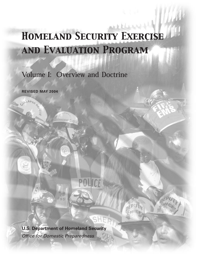# *Homeland Security Exercise and Evaluation Program*

POLICE

Volume I: Overview and Doctrine

**REVISED MAY 2004** 

 $a<sub>A</sub>$ 

**U.S. Department of Homeland Security**  *Office for Domestic Preparedness*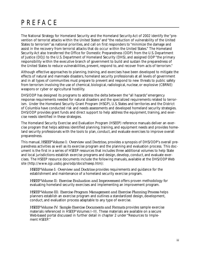# PREFACE

The National Strategy for Homeland Security and the Homeland Security Act of 2002 identify the "prevention of terrorist attacks within the United States" and "the reduction of vulnerability of the United States to terrorism" as national priorities, and call on first responders to "minimize the damage and assist in the recovery from terrorist attacks that do occur within the United States." The Homeland Security Act also transferred the Office for Domestic Preparedness (ODP) from the U.S. Department of Justice (DOJ) to the U.S. Department of Homeland Security (DHS), and assigned ODP "the primary responsibility within the executive branch of government to build and sustain the preparedness of the United States to reduce vulnerabilities, prevent, respond to, and recover from acts of terrorism."

Although effective approaches to planning, training, and exercises have been developed to mitigate the effects of natural and manmade disasters, homeland security professionals at all levels of government and in all types of communities must prepare to prevent and respond to new threats to public safety from terrorism involving the use of chemical, biological, radiological, nuclear, or explosive (CBRNE) weapons or cyber or agricultural hostility.

DHS/ODP has designed its programs to address the delta between the "all hazards" emergency response requirements needed for natural disasters and the specialized requirements related to terrorism. Under the Homeland Security Grant Program (HSGP), U.S. States and territories and the District of Columbia have conducted risk and needs assessments and developed homeland security strategies. DHS/ODP provides grant funds and direct support to help address the equipment, training, and exercise needs identified in these strategies.

The Homeland Security Exercise and Evaluation Program (HSEEP) reference manuals deliver an exercise program that helps address identified planning, training, and equipment needs and provides homeland security professionals with the tools to plan, conduct, and evaluate exercises to improve overall preparedness.

This manual, *HSEEP Volume I: Overview and Doctrine,* provides a synopsis of DHS/ODP's overall preparedness activities as well as its exercise program and the planning and evaluation process. This document is the first in a series of HSEEP resources that includes three additional volumes to help State and local jurisdictions establish exercise programs and design, develop, conduct, and evaluate exercises. The HSEEP resource documents include the following manuals, available at the DHS/ODP Web site (http://www.ojp.usdoj.gov/odp/docs/hseep.htm):

*HSEEP Volume I: Overview and Doctrine* provides requirements and guidance for the establishment and maintenance of a homeland security exercise program.

*HSEEP Volume II: Exercise Evaluation and Improvement* offers proven methodology for evaluating homeland security exercises and implementing an improvement program.

*HSEEP Volume III: Exercise Program Management and Exercise Planning Process helps* planners establish an exercise program and outlines a standardized design, development, conduct, and evaluation process adaptable to any type of exercise.

*HSEEP Volume IV: Sample Exercise Documents and Formats* provides sample exercise materials referenced in HSEEP Volumes I–III. These materials are available on a secure Web-based portal discussed in further detail in chapter 2 under "Resources to Implement HSEEP."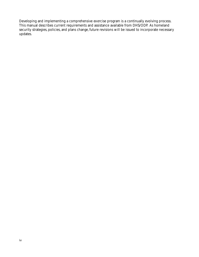Developing and implementing a comprehensive exercise program is a continually evolving process. This manual describes current requirements and assistance available from DHS/ODP. As homeland security strategies, policies, and plans change, future revisions will be issued to incorporate necessary updates.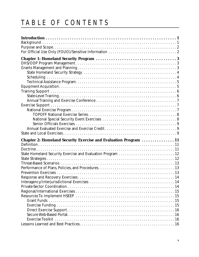# <span id="page-5-0"></span>TABLE OF CONTENTS

| Chapter 2: Homeland Security Exercise and Evaluation Program  11 |
|------------------------------------------------------------------|
|                                                                  |
|                                                                  |
| State Homeland Security Exercise and Evaluation Program  12      |
|                                                                  |
|                                                                  |
|                                                                  |
|                                                                  |
|                                                                  |
|                                                                  |
|                                                                  |
|                                                                  |
|                                                                  |
|                                                                  |
|                                                                  |
|                                                                  |
|                                                                  |
|                                                                  |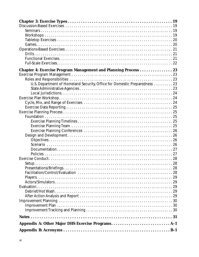| Chapter 4: Exercise Program Management and Planning Process  23            |  |
|----------------------------------------------------------------------------|--|
|                                                                            |  |
|                                                                            |  |
| U.S. Department of Homeland Security, Office for Domestic Preparedness  23 |  |
|                                                                            |  |
|                                                                            |  |
|                                                                            |  |
|                                                                            |  |
|                                                                            |  |
|                                                                            |  |
|                                                                            |  |
|                                                                            |  |
|                                                                            |  |
|                                                                            |  |
|                                                                            |  |
|                                                                            |  |
|                                                                            |  |
|                                                                            |  |
|                                                                            |  |
|                                                                            |  |
|                                                                            |  |
|                                                                            |  |
|                                                                            |  |
|                                                                            |  |
|                                                                            |  |
|                                                                            |  |
|                                                                            |  |
|                                                                            |  |
|                                                                            |  |
|                                                                            |  |
|                                                                            |  |
|                                                                            |  |
|                                                                            |  |
|                                                                            |  |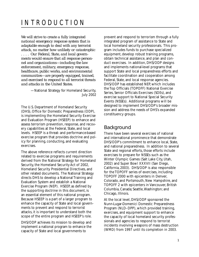# <span id="page-7-0"></span>INTRODUCTION

*We will strive to create a fully integrated national emergency response system that is adaptable enough to deal with any terrorist attack, no matter how unlikely or catastrophic .... Our Federal, State, and local governments would ensure that all response personnel and organizations—including the law enforcement, military, emergency response, healthcare, public works, and environmental communities—are properly equipped, trained, and exercised to respond to all terrorist threats and attacks in the United States.* 

> —National Strategy for Homeland Security, July 2002

The U.S. Department of Homeland Security (DHS), Office for Domestic Preparedness (ODP), is implementing the Homeland Security Exercise and Evaluation Program (HSEEP) to enhance and assess terrorism prevention, response, and recovery capabilities at the Federal, State, and local levels. HSEEP is a threat- and performance-based exercise program that provides doctrine and policy for planning, conducting, and evaluating exercises.

The above reference reflects current direction related to exercise programs and requirements derived from the National Strategy for Homeland Security, the Homeland Security Act of 2002, Homeland Security Presidential Directives, and other related documents. The National Strategy directs DHS to develop a National Training and Evaluation System and establish a National Exercise Program (NEP). HSEEP, as defined by the supporting doctrine in this document, is an essential element of this national program. Because HSEEP is a part of a larger program to enhance the capacity of State and local governments to prevent and respond to terrorist attacks, it is important to understand both the scope of the entire program and HSEEP's role.

DHS/ODP achieves its mission to develop and implement a national program to enhance the capacity of State and local governments to

prevent and respond to terrorism through a fully integrated program of assistance to State and local homeland security professionals. This program includes funds to purchase specialized equipment, develop robust training programs, obtain technical assistance, and plan and conduct exercises. In addition, DHS/ODP designs and implements national-level programs that support State and local preparedness efforts and facilitate coordination and cooperation among Federal, State, and local response agencies. DHS/ODP has established NEP, which includes the Top Officials (TOPOFF) National Exercise Series, Senior Officials Exercises (SOEs), and exercise support to National Special Security Events (NSSEs). Additional programs will be designed to implement DHS/ODP's broader mission and address the needs of DHS's expanded constituency groups.

# Background

There have been several exercises of national and international prominence that demonstrate DHS/ODP's commitment to enhance local, State, and national preparedness. In addition to several State and regional efforts, those efforts include exercises to prepare for NSSEs such as the Winter Olympic Games (Salt Lake City, Utah, 2002) and Super Bowl XXXVII (San Diego, California, 2003). DHS/ODP is also responsible for the TOPOFF series of exercises, including TOPOFF 2000 with epicenters in Denver, Colorado, and Portsmouth, New Hampshire, and TOPOFF 2 with epicenters in Vancouver, British Columbia, Canada; Seattle,Washington; and Chicago, Illinois.

At the local level, DHS/ODP sponsored the Nunn-Lugar-Domenici Domestic Preparedness Program (NLD–DPP), which provided training, exercises, and equipment support to enhance the capacity of local homeland security professionals and agencies to respond to terrorist incidents involving weapons of mass destruction (WMD) from 1997 until its completion in 2003.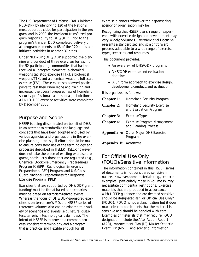<span id="page-8-1"></span><span id="page-8-0"></span>The U.S. Department of Defense (DoD) initiated NLD–DPP by identifying 120 of the Nation's most populous cities for participation in the program, and in 2000, the President transferred program responsibility to DHS/ODP. Prior to the program's transfer, DoD completed delivery of all program elements to 68 of the 120 cities and initiated activities in another 37 cities.

Under NLD–DPP, DHS/ODP supported the planning and conduct of three exercises for each of the 52 participating communities that had not received all program elements: a chemical weapons tabletop exercise (TTX), a biological weapons TTX, and a chemical weapons full-scale exercise (FSE). These exercises allowed participants to test their knowledge and training and increased the overall preparedness of homeland security professionals across local jurisdictions. All NLD–DPP exercise activities were completed by December 2003.

### Purpose and Scope

HSEEP is being disseminated on behalf of DHS. In an attempt to standardize the language and concepts that have been adopted and used by various agencies and organizations in the exercise planning process, all efforts should be made to ensure consistent use of the terminology and processes described in HSEEP. HSEEP, however, does not take the place of existing exercise programs, particularly those that are regulated (e.g., Chemical Stockpile Emergency Preparedness Program [CSEPP], Radiological Emergency Preparedness [REP] Program, and U.S. Coast Guard National Preparedness for Response Exercise Program [PREP]).

Exercises that are supported by DHS/ODP grant funding<sup>1</sup> must be threat based and scenarios must be based on terrorism-related events.<sup>2</sup> Whereas the focus of DHS/ODP-sponsored exercises is on terrorism/WMD, the HSEEP series of reference volumes also can be adapted to a variety of scenarios and events (e.g., natural disasters, terrorism, technological calamities). The intent of HSEEP is to provide a common process, consistent terminology, and a program that is practical and flexible enough for all

exercise planners, whatever their sponsoring agency or organization may be.

Recognizing that HSEEP users' range of experience with exercise design and development may vary widely, *Volume I: Overview and Doctrine*  presents a standardized and straightforward process, adaptable to a wide range of exercise types, scenarios, and resources.

This document provides:

- ♦ An overview of DHS/ODP programs
- ♦ DHS/ODP exercise and evaluation doctrine
- ♦ A uniform approach to exercise design, development, conduct, and evaluation

It is organized as follows:

| <b>Chapter 1:</b>           | <b>Homeland Security Program</b>                               |
|-----------------------------|----------------------------------------------------------------|
| <b>Chapter 2:</b>           | <b>Homeland Security Exercise</b><br>and Evaluation Program    |
| <b>Chapter 3:</b>           | <b>Exercise Types</b>                                          |
| <b>Chapter 4:</b>           | <b>Exercise Program Management</b><br>and Planning Process     |
|                             | <b>Appendix A: Other Major DHS Exercise</b><br><b>Programs</b> |
| <b>Appendix B:</b> Acronyms |                                                                |

# For Official Use Only (FOUO)/Sensitive Information

The information contained in this HSEEP series of documents is not considered sensitive in nature. However, some materials (e.g., scenario examples), particularly those in Volume IV, may necessitate confidential restrictions. Exercise materials that are produced in accordance with HSEEP guidance and are deemed sensitive should be designated as "For Official Use Only" (FOUO). FOUO is not a classification but it does make clear to participants that the material is sensitive and should be handled with care. Examples of materials that may require FOUO designation include the After Action Report (AAR), Improvement Plan (IP), Master Scenario Event List (MSEL), and scenario information.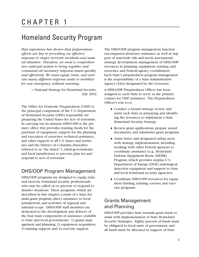# <span id="page-9-0"></span>CHAPTER 1

# Homeland Security Program

*Past experience has shown that preparedness efforts are key to providing an effective response to major terrorist incidents and natural disasters. Therefore, we need a comprehensive national system to bring together and command all necessary response assets quickly and effectively. We must equip, train, and exercise many different response units to mobilize for any emergency without warning.* 

> —National Strategy for Homeland Security, July 2002

The Office for Domestic Preparedness (ODP) is the principal component of the U.S. Department of Homeland Security (DHS) responsible for preparing the United States for acts of terrorism. In carrying out its mission, DHS/ODP is the primary office that provides training, funds for the purchase of equipment, support for the planning and execution of exercises, technical assistance, and other support to all U.S. States and territories and the District of Columbia (hereafter referred to as "the States"3 ), tribal governments, and local jurisdictions to prevent, plan for, and respond to acts of terrorism.

# DHS/ODP Program Management

DHS/ODP programs are designed to equip, train, and exercise homeland security professionals who may be called on to prevent or respond to disaster situations. These programs, which are described in this chapter, consist of a State formula grant program, direct assistance to local jurisdictions, and activities of regional and national scope. DHS/ODP staff members are dedicated to the development and delivery of the four main components of assistance available to State and local governments: 1) grants management and planning, 2) equipment acquisition, 3) training support, and 4) exercise support.

The DHS/ODP program management function encompasses monetary assistance as well as support of statewide risk and needs assessments; strategy development; management of DHS/ODP resources in planning, equipment, training, and exercises; and Federal agency coordination. Each State's preparedness program management is the responsibility of a State Administrative Agency (SAA) designated by the Governor.

A DHS/ODP Preparedness Officer has been assigned to each State to serve as the primary contact for ODP assistance. The Preparedness Officer's role is to:

- ♦ Conduct a formal strategy review and assist each State in preparing and identifying the resources to implement a State Homeland Security Strategy
- ♦ Review grant applications, prepare award documents, and administer grant programs
- ♦ Assist States and designated urban areas with strategy implementation, including working with other Federal agencies to coordinate assistance (e.g., Homeland Defense Equipment Reuse [HDER] Program, which provides surplus U.S. Department of Energy (DOE) radiological detection equipment and support to State and local homeland security agencies)
- ♦ Coordinate DHS/ODP resources for equipment funding, training courses, and exercise programs

# Grants Management and Planning

DHS/ODP provides State formula grant funds to assist with implementation of State Homeland Security Strategies. Eighty percent of funds must be obligated to local units of government, and all funds must be allocated in support of State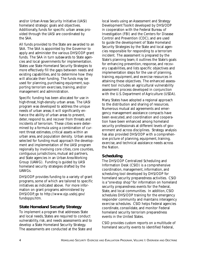<span id="page-10-0"></span>and/or Urban Areas Security Initiative (UASI) homeland strategic goals and objectives. Additionally, funds for specific urban areas provided through the UASI are coordinated by the SAA.

All funds provided to the State are awarded to an SAA. The SAA is appointed by the Governor to apply and administer the various DHS/ODP grant funds. The SAA in turn subawards to State agencies and local governments for implementation. States use State Homeland Security Strategies to more effectively fill the gaps between needs and existing capabilities, and to determine how they will allocate their funding. The funds may be used for planning, purchasing equipment, supporting terrorism exercises, training, and/or management and administration.

Specific funding has been allocated for use in high-threat, high-density urban areas. The UASI program was developed to address the unique needs of urban areas; it will significantly enhance the ability of urban areas to prevent, deter, respond to, and recover from threats and incidents of terrorism. These cities were determined by a formula using a combination of current threat estimates, critical assets within an urban area, and population density. Urban areas selected for funding must approach the development and implementation of the UASI program regionally by involving core cities, core counties, contiguous jurisdictions, mutual aid partners, and State agencies in an Urban Area Working Group (UAWG). Funding is guided by UASI homeland security strategies drafted by the UAWGs.

DHS/ODP provides funding to a variety of grant programs, some of which are tailored to specific initiatives as indicated above. For more information on grant programs administered by DHS/ODP, go to http://www.ojp.usdoj.gov/ fundopps.htm.

#### **State Homeland Security Strategy**

To implement a program that addresses State and local needs, States are required to conduct vulnerability, risk, and needs assessments and to develop a State Homeland Security Strategy. The assessments are conducted at the State and local levels using an Assessment and Strategy Development Toolkit developed by DHS/ODP in cooperation with the Federal Bureau of Investigation (FBI) and the Centers for Disease Control and Prevention (CDC), and are used to guide the development of State Homeland Security Strategies by the State and local agencies responsible for responding to a terrorism incident. The assessment is prepared by the State's planning team; it outlines the State's goals for enhancing prevention, response, and recovery capabilities, and lists specific objectives and implementation steps for the use of planning, training, equipment, and exercise resources in attaining these objectives. The enhanced assessment tool includes an agricultural vulnerability assessment process developed in conjunction with the U.S. Department of Agriculture (USDA).

Many States have adopted a regional approach to the distribution and sharing of resources. Numerous mutual aid agreements and emergency management assistance compacts have been executed, and coordination and cooperation have been enhanced among homeland security professionals at different levels of government and across disciplines. Strategy analysis has also provided DHS/ODP with a comprehensive picture of planning, equipment, training, exercise, and technical assistance needs across the Nation.

#### **Scheduling**

The DHS/ODP Centralized Scheduling and Information Desk (CSID) is a comprehensive coordination, management, information, and scheduling tool developed by DHS/ODP for homeland security preparedness activities. CSID is a "one-stop shop" for information on homeland security preparedness events for the Federal, State, and local communities. In addition, CSID schedules DHS/ODP training for the emergency responder community and maintains interagency exercise schedules. CSID helps Federal agencies coordinate, consolidate, and monitor Federal homeland security terrorism preparedness events in the United States.

CSID provides custom reports on a multitude of homeland security events to identified Federal,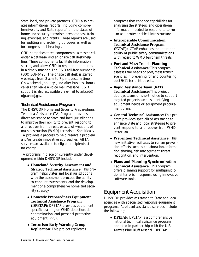<span id="page-11-0"></span>State, local, and private partners. CSID also creates informational reports (including comprehensive city and State reports) on the status of homeland security terrorism preparedness training, exercises, and grants. These reports are used for auditing and archiving purposes as well as for congressional hearings.

CSID comprises three components: a master calendar, a database, and an onsite call desk/help line. These components facilitate information sharing and allow CSID to respond to inquiries in a timely manner. The CSID toll-free number is (800) 368–6498. The onsite call desk is staffed weekdays from 8 a.m. to 7 p.m., eastern time. On weekends, holidays, and after business hours, callers can leave a voice mail message. CSID support is also accessible via e-mail to askcsd@ ojp.usdoj.gov.

#### **Technical Assistance Program**

The DHS/ODP Homeland Security Preparedness Technical Assistance (TA) Program provides direct assistance to State and local jurisdictions to improve their ability to prevent, respond to, and recover from threats or acts of weapons of mass destruction (WMD) terrorism. Specifically, TA provides a process to help resolve a problem and/or create innovative approaches. All TA services are available to eligible recipients at no charge.

TA programs in place or currently under development within DHS/ODP include:

- ♦ **Homeland Security Assessment and Strategy Technical Assistance:** This program helps States and local jurisdictions with the assessment process, the ability to conduct assessments, and the development of a comprehensive homeland security strategy.
- ♦ **Domestic Preparedness Equipment Technical Assistance Program (DPETAP):** DPETAP provides equipmentspecific training on WMD detection, decontamination, and personal protective equipment (PPE).
- ♦ **Terrorism Early Warning Group Replication:** This project replicates

programs that enhance capabilities for analyzing the strategic and operational information needed to respond to terrorism and protect critical infrastructure.

- ♦ **Interoperable Communication Technical Assistance Program (ICTAP):** ICTAP enhances the interoperability of public safety communications with regard to WMD terrorism threats.
- ♦ **Port and Mass Transit Planning Technical Assistance:** This program assesses the needs of port/mass transit agencies in preparing for and countering post-9/11 terrorist threats.
- ♦ **Rapid Assistance Team (RAT) Technical Assistance:** This project deploys teams on short notice to support targeted projects such as identifying equipment needs or equipment procurement plans.
- ♦ **General Technical Assistance:** This program provides specialized assistance to enhance State and local strategies to prevent, respond to, and recover from WMD terrorism.
- ♦ **Prevention Technical Assistance:** This new initiative facilitates terrorism prevention efforts such as collaboration, information sharing, risk management, threat recognition, and intervention.
- ♦ **Plans and Planning Synchronization Technical Assistance:** This program offers planning support for multijurisdictional terrorism response using innovative software tools.

### Equipment Acquisition

DHS/ODP provides assistance to State and local agencies with specialized response equipment programs. Applicant assistance services include the following:

♦ **DPETAP:** DPETAP is a comprehensive national technical assistance program operated in partnership with the U.S. Army's Pine Bluff Arsenal. DPETAP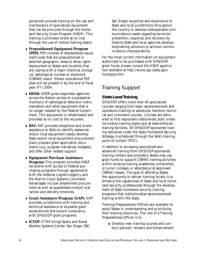<span id="page-12-0"></span>personnel provide training on the use and maintenance of specialized equipment that can be procured through the Homeland Security Grant Program (HSGP). This training is provided onsite at no cost through the use of mobile training teams.

- ♦ **Prepositioned Equipment Program (PEP):** PEP consists of standardized equipment pods that are prepositioned in selected geographic areas to allow rapid deployment to States and localities that are coping with a major chemical, biological, radiological, nuclear, or explosive (CBRNE) event. Eleven operational PEP sites will be phased in by the end of fiscal year (FY) 2004.
- ♦ **HDER:** HDER gives responder agencies across the Nation access to a substantial inventory of radiological detection instrumentation and other equipment that is no longer needed by the Federal Government. This equipment is rehabilitated and provided at no cost to the recipient.
- ♦ **RAT:** RAT provides telephone and onsite assistance to SAAs to identify statewide and/or local equipment needs, develop State and/or local equipment procurement plans, prepare grant application documents (e.g., program narratives, budgets), and offer other related support.
- ♦ **Equipment Purchase Assistance Program:** This program provides HSGP recipients with access to Federal purchasing programs through agreements with the Defense Logistics Agency and the Marine Corps Systems Command. Advantages include streamlined procurement as well as guaranteed product warranties and delivery timelines.
- ♦ **Grant Assistance Program (GAP):** GAP provides jurisdictions with training and technical assistance to expedite grant expenditures and ensure compliance with DHS/ODP grant programs.
- ♦ **ICTAP:** ICTAP brings Space and Naval Warfare Systems Center–San Diego (SSC

San Diego) expertise and experience to State and local jurisdictions throughout the country to address interoperable communications needs regarding terrorism prevention, response, and recovery by helping State and local agencies develop engineering solutions to achieve communications interoperability.

For the most current information on equipment authorized to be purchased with DHS/ODP grant funds, please consult the HSGP application available at http://www.ojp.usdoj.gov/ fundopps.htm.

# Training Support

#### **State-Level Training**

DHS/ODP offers more than 40 specialized courses ranging from basic awareness-level and operations training to advanced, hands-on technical and command courses. Courses are delivered to first responders nationwide, both onsite via mobile training teams and at state-of-the-art training facilities. All DHS/ODP-sponsored training delivered under the State Homeland Security Strategy is scheduled through the SAA's training point of contact (POC).

In addition to accessing specialized and advanced training from DHS/ODP-sponsored training centers and providers, States may use grant funds to support CBRNE training activities within existing training academies, universities, or junior colleges, or attendance at approved CBRNE classes. The goal of affording States the opportunity to deliver training locally is to enhance the capabilities of State and local homeland security professionals through the development of State homeland security training programs that institutionalize awareness-level training within the State.

Training Preparedness Officers are available to assist States in understanding and prioritizing their training resources. The role of a Training Preparedness Officer is to:

♦ Develop new training courses and conduct periodic reviews and enhancement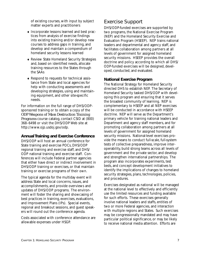<span id="page-13-0"></span>of existing courses, with input by subject matter experts and practitioners

- ♦ Incorporate lessons learned and best practices from analysis of exercise findings into existing training and/or develop new courses to address gaps in training, and develop and maintain a compendium of homeland security lessons learned
- ♦ Review State Homeland Security Strategies and, based on identified needs, allocate training resources to the States through the SAAs
- ♦ Respond to requests for technical assistance from State and local agencies for help with conducting assessments and developing strategies, using and maintaining equipment, and other site-specific needs.

For information on the full range of DHS/ODPsponsored training or to obtain a copy of the *ODP Weapons of Mass Destruction Training Programs* course catalog, contact CSID at (800) 368–6498 or visit the DHS/ODP Web site at http://www.ojp.usdoj.gov/odp.

#### **Annual Training and Exercise Conference**

DHS/ODP will host an annual conference for State training and exercise POCs, DHS/ODP regional training and exercise staff, and DHS/ ODP national training and exercise staff. Conferences will include Federal partner agencies that either have direct or indirect involvement in DHS/ODP training or exercises, or that maintain training or exercise programs of their own.

The typical agenda for the multiday event will address State and local concerns, issues, and accomplishments, and provide overviews and updates of DHS/ODP programs. The environment will foster the sharing and showcasing of best practices in training, exercises, evaluations, and Improvement Plans (IPs). Special events, regional and breakout sessions, and guest speakers will round out the conference agenda.

Costs associated with conference attendance are allowable expenses under HSGP.

### Exercise Support

DHS/ODP-funded exercises are supported by two programs, the National Exercise Program (NEP) and the Homeland Security Exercise and Evaluation Program (HSEEP). NEP trains national leaders and departmental and agency staff, and facilitates collaboration among partners at all levels of government for assigned homeland security missions. HSEEP provides the overall doctrine and policy according to which all DHS/ ODP-funded exercises will be designed, developed, conducted, and evaluated.

#### **National Exercise Program**

The National Strategy for Homeland Security directed DHS to establish NEP. The Secretary of Homeland Security tasked DHS/ODP with developing this program and ensuring that it serves the broadest community of learning. NEP is complementary to HSEEP and all NEP exercises will be conducted in accordance with HSEEP doctrine. NEP will serve as the Department's primary vehicle for training national leaders and Department and agency staff members, and for promoting collaboration among partners at all levels of government for assigned homeland security missions. National-level exercises provide the means to conduct full-scale, full-system tests of collective preparedness, improve interoperability, build strong teams across all levels of government and the private sector, and develop and strengthen international partnerships. The program also incorporates experiments, test beds, and concept development initiatives to identify the implications of changes to homeland security strategies, plans, technologies, policies, and procedures.

Exercises designated as national will be managed at the national level to effectively and efficiently use the limited resources and funding available for such efforts. These exercises generally involve national leaders and staffs, entities of two or more Federal agencies, and interaction with multiple regions and States. Such exercises may be congressionally mandated and may have particular political significance, or may be likely to receive national media attention. Efforts are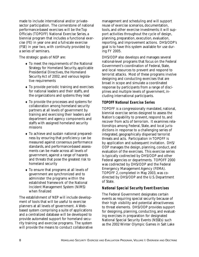<span id="page-14-0"></span>made to include international and/or privatesector participation. The cornerstone of national performance-based exercises will be the Top Officials (TOPOFF) National Exercise Series, a biennial program that includes a functional exercise (FE) in year one and a full-scale exercise (FSE) in year two, with continuity provided by a series of seminars.

The strategic goals of NEP are:

- ♦ To meet the requirements of the National Strategy for Homeland Security, applicable Presidential Directives, the Homeland Security Act of 2002, and various legislative requirements
- ♦ To provide periodic training and exercises for national leaders and their staffs, and the organizations and systems they lead
- ♦ To provide the processes and systems for collaboration among homeland security partners at all levels of government by training and exercising their leaders and department and agency components and staffs with assigned homeland security missions
- ♦ To achieve and sustain national preparedness by ensuring that proficiency can be measured against consensus performance standards, and performance-based assessments can be made across all levels of government, against a range of hazards and threats that pose the greatest risk to homeland security
- ♦ To ensure that programs at all levels of government are synchronized and to administer the programs within the established framework of the National Incident Management System (NIMS) when finalized

The establishment of NEP will include development of tools that will be useful to exercise planners at all levels of government. A Webbased system comprising a suite of applications and a centralized database will be developed to provide automated support for homeland security training and exercise programs. The system will provide the means to conduct collaborative management and scheduling and will support reuse of exercise scenarios, documentation, tools, and other exercise investments; it will support activities throughout the cycle of design, planning, preparation, execution, evaluation, reporting, and improvement actions. DHS/ODP's goal is to have this system available for use during FY 2005.

DHS/ODP also develops and manages several national-level programs that focus on the Federal Government's coordination of Federal, State, and local resources to prevent and respond to terrorist attacks. Most of these programs involve designing and conducting exercises that are broad in scope and simulate a coordinated response by participants from a range of disciplines and multiple levels of government, including international participants.

#### **TOPOFF National Exercise Series**

TOPOFF is a congressionally mandated, national, biennial exercise series designed to assess the Nation's capability to prevent, respond to, and recover from acts of terrorism. It examines relationships among Federal, State, and local jurisdictions in response to a challenging series of integrated, geographically dispersed terrorist threats and acts. Participation in TOPOFF is by application and subsequent invitation. DHS/ ODP manages the design, planning, conduct, and evaluation of the exercises. This exercise series is typically codirected by DHS/ODP and other Federal agencies or departments. TOPOFF 2000 was codirected by DHS/ODP and the Federal Emergency Management Agency (FEMA). TOPOFF 2, completed in May 2003, was codirected by DHS/ODP and the U.S. Department of State.

#### **National Special Security Event Exercises**

The Federal Government designates certain events as requiring special security because of their high visibility and potential attractiveness to threat elements. DHS/ODP provides support for designing, planning, conducting, and evaluating exercises in preparation for designated National Special Security Events (NSSEs) such as the 2002 Winter Olympic Games in Salt Lake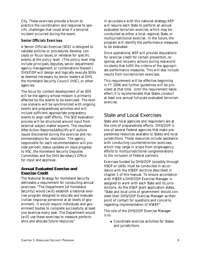<span id="page-15-0"></span>City. These exercises provide a forum to practice the coordination and response to specific challenges that could arise if a terrorist incident occurred during the event.

#### **Senior Officials Exercises**

A Senior Officials Exercise (SOE) is designed to validate policies or procedures, develop concepts or focus issues, or rehearse for specific events, at the policy level. (The policy level may include principals, deputies, senior department/ agency management, or combinations thereof.) DHS/ODP will design and logically execute SOEs as deemed necessary by senior leaders at DHS, the Homeland Security Council (HSC), or other agencies.

The focus for content development of an SOE will be the agency whose mission is primarily affected by the events to be exercised. The exercise scenario will be synchronized with ongoing events and preparedness activities and will include sufficient, appropriate preparatory events to align staff efforts. The SOE evaluation process will be structured around input from external subject matter experts. The resultant After Action Reports(AARs)/IPs will outline issues discovered during the exercise and recommendations for resolution. The agency responsible for each recommendation will provide periodic status updates on issue progress to HSC, the Homeland Security Deputies Committee, and the DHS Secretary's Office for input and approval.

#### **Annual Evaluated Exercise and Exercise Credit**

The National Strategy for Homeland Security delineates a requirement for conducting annual exercises: "The Department [of Homeland Security] would [will] establish a national exercise program designed to educate and evaluate civilian response personnel at all levels of government. It would require individuals and government bodies to complete successfully at least one exercise every year. The Department would [will] use these exercises to measure performance and allocate future resources."

In accordance with this national strategy, NEP will require each State to perform an annual evaluated terrorism exercise, which may be conducted as either a local, regional, State, or multijurisdictional exercise. In the future, the program will identify the performance measures to be evaluated.

Once operational, NEP will provide stipulations for exercise credit for certain prevention, response, and recovery actions during real-world incidents that fulfill the criteria of the appropriate performance measures. This will also include results from non-terrorism exercises.

This requirement will be effective beginning in FY 2006 and further guidelines will be provided at that time. Until the requirement takes effect, it is recommended that States conduct at least one annual full-scale evaluated terrorism exercise.

# State and Local Exercises

State and local agencies and responders are at the core of preparedness efforts. DHS/ODP is one of several Federal agencies that make preparedness resources available to States and local jurisdictions. These resources include assistance with conducting counterterrorism exercises, which may range in scope from single-agency efforts to multijurisdictional conglomerations to the inclusion of Federal partners.

Exercises funded by DHS/ODP (possibly through HSGP or UASI) must be conducted in accordance with the HSEEP doctrine described in chapter 2 of this manual. To ensure accordance with HSEEP, a DHS/ODP Exercise Manager is assigned to work with each State and its jurisdictions. As the HSGP grant application states, "State and local units of government should consider their DHS/ODP Exercise Manager as their point of contact for questions and concerns regarding implementation of HSEEP."

The role of the DHS/ODP Exercise Manager is to:

♦ Coordinate exercise activities for States and jurisdictions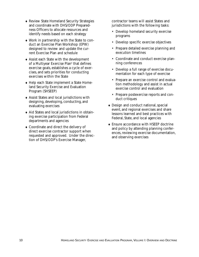- ♦ Review State Homeland Security Strategies and coordinate with DHS/ODP Preparedness Officers to allocate resources and identify needs based on each strategy
- ♦ Work in partnership with the State to conduct an Exercise Plan Workshop (EPW) designed to review and update the current Exercise Plan and schedule
- ♦ Assist each State with the development of a Multiyear Exercise Plan<sup>4</sup> that defines exercise goals, establishes a cycle of exercises, and sets priorities for conducting exercises within the State
- ♦ Help each State implement a State Homeland Security Exercise and Evaluation Program (SHSEEP)
- ♦ Assist States and local jurisdictions with designing, developing, conducting, and evaluating exercises
- ♦ Aid States and local jurisdictions in obtaining exercise participation from Federal departments and agencies
- ♦ Coordinate and direct the delivery of direct exercise contractor support when requested and approved. Under the direction of DHS/ODP's Exercise Manager,

contractor teams will assist States and jurisdictions with the following tasks:

- Develop homeland security exercise programs
- • Develop specific exercise objectives
- • Prepare detailed exercise planning and execution timelines
- • Coordinate and conduct exercise planning conferences
- Develop a full range of exercise documentation for each type of exercise
- Prepare an exercise control and evaluation methodology and assist in actual exercise control and evaluation
- • Prepare postexercise reports and conduct critiques
- ♦ Design and conduct national, special event, and regional exercises and share lessons learned and best practices with Federal, State, and local agencies
- ♦ Ensure accordance with HSEEP doctrine and policy by attending planning conferences, reviewing exercise documentation, and observing exercises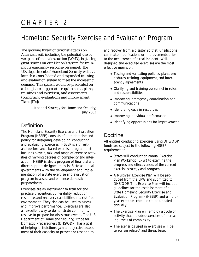# <span id="page-17-0"></span>CHAPTER 2

# Homeland Security Exercise and Evaluation Program

*The growing threat of terrorist attacks on American soil, including the potential use of weapons of mass destruction [WMD], is placing great strains on our Nation's system for training its emergency response personnel. The U.S. Department of Homeland Security will . . . launch a consolidated and expanded training and evaluation system to meet the increasing demand. This system would be predicated on a four-phased approach: requirements, plans, training (and exercises), and assessments (comprising evaluations and Improvement Plans [IPs]).* 

> —National Strategy for Homeland Security, July 2002

### Definition

The Homeland Security Exercise and Evaluation Program (HSEEP) consists of both doctrine and policy for designing, developing, conducting, and evaluating exercises. HSEEP is a threatand performance-based exercise program that includes a cycle, mix, and range of exercise activities of varying degrees of complexity and interaction. HSEEP is also a program of financial and direct support designed to assist State and local governments with the development and implementation of a State exercise and evaluation program to assess and enhance domestic preparedness.

Exercises are an instrument to train for and practice prevention, vulnerability reduction, response, and recovery capabilities in a risk-free environment. They also can be used to assess and improve performance. Exercises are also an excellent way to demonstrate community resolve to prepare for disastrous events. The U.S. Department of Homeland Security, Office for Domestic Preparedness (DHS/ODP), has a goal of helping jurisdictions gain an objective assessment of their capacity to prevent or respond to,

and recover from, a disaster so that jurisdictions can make modifications or improvements prior to the occurrence of a real incident. Welldesigned and executed exercises are the most effective means of:

- ♦ Testing and validating policies, plans, procedures, training, equipment, and interagency agreements
- ♦ Clarifying and training personnel in roles and responsibilities
- ♦ Improving interagency coordination and communications
- ♦ Identifying gaps in resources
- ♦ Improving individual performance
- ♦ Identifying opportunities for improvement

### Doctrine

All entities conducting exercises using DHS/ODP funds are subject to the following HSEEP requirements:

- ♦ States will conduct an annual Exercise Plan Workshop (EPW) to examine the progress and effectiveness of the current exercise strategy and program.
- ♦ A Multiyear Exercise Plan will be produced from the EPW and submitted to DHS/ODP. This Exercise Plan will include guidelines for the establishment of a State Homeland Security Exercise and Evaluation Program (SHSEEP) and a multiyear exercise schedule (to be updated annually).
- ♦ The Exercise Plan will employ a cycle of activity that includes exercises of increasing levels of complexity.
- The scenarios used in exercises will be terrorism related $5$  and threat based.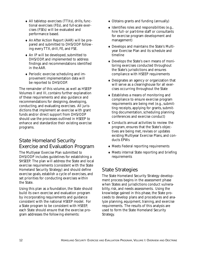- <span id="page-18-0"></span> $\triangleleft$  All tabletop exercises (TTXs), drills, functional exercises (FEs), and full-scale exercises (FSEs) will be evaluated and performance based.
- ♦ An After Action Report (AAR) will be prepared and submitted to DHS/ODP following every TTX, drill, FE, and FSE.
- ♦ An IP will be developed, submitted to DHS/ODP, and implemented to address findings and recommendations identified in the AAR.
- ♦ Periodic exercise scheduling and improvement implementation data will be reported to DHS/ODP.

The remainder of this volume, as well as HSEEP Volumes II and III, contains further explanation of these requirements and also guidance and recommendations for designing, developing, conducting, and evaluating exercises. All jurisdictions that implement an exercise with grant funds and/or direct support from DHS/ODP should use the processes outlined in HSEEP to enhance and standardize their existing exercise programs.

# State Homeland Security Exercise and Evaluation Program

The Multiyear Exercise Plan submitted to DHS/ODP includes guidelines for establishing a SHSEEP. The plan will address the State and local exercise requirements (consistent with the State Homeland Security Strategy) and should define exercise goals, establish a cycle of exercises, and set priorities for conducting exercises within the State.

Using this plan as a foundation, the State should build its own exercise and evaluation program by incorporating requirements and guidance consistent with the national HSEEP model. For a State program to be consistent with HSEEP, each State should ensure that the exercise program addresses the following elements:

- ♦ Obtains grants and funding (annually)
- $\triangleleft$  Identifies roles and responsibilities (e.g., hire full- or part-time staff or consultants for exercise program development and management)
- ♦ Develops and maintains the State's Multiyear Exercise Plan and its schedule and timeline
- ♦ Develops the State's own means of monitoring exercises conducted throughout the State's jurisdictions and ensures compliance with HSEEP requirements
- ♦ Designates an agency or organization that will serve as a clearinghouse for all exercises occurring throughout the State
- ♦ Establishes a means of monitoring and compliance to ensure exercise program requirements are being met (e.g., submitting receipts, applying for grants, submitting documentation, scheduling planning conferences and exercise conduct)
- ♦ Conducts annual activities to review the program, ensures that the State's objectives are being met, revises or updates existing Multiyear Exercise Plans, and conducts EPWs
- ♦ Meets Federal reporting requirements
- ♦ Meets internal State reporting and briefing requirements

# State Strategies

The State Homeland Security Strategy development process begins in the assessment phase when States and jurisdictions conduct vulnerability, risk, and needs assessments. Using the knowledge gained in this phase, the State proceeds to develop plans and procedures and analyze planning, equipment, training, and exercise requirements. The results of this analysis are used to form the State Homeland Security Strategy.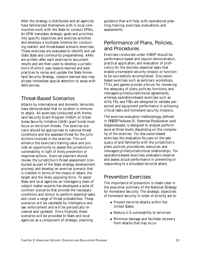<span id="page-19-0"></span>After the strategy is distributed and all agencies have familiarized themselves with it, local communities work with the State to conduct EPWs. An EPW translates strategic goals and priorities into specific objectives and exercise activities and develops a multiyear timeline for conducting realistic and threat-based scenario exercises. These exercises are evaluated to identify and validate State and community preparedness. AARs are written after each exercise to document results and are then used to develop a jurisdiction's IP, which uses lessons learned and best practices to revise and update the State Homeland Security Strategy. Lessons learned also may dictate immediate special attention to areas with deficiencies.

# Threat-Based Scenarios

Attacks by international and domestic terrorists have demonstrated that no location is immune to attack. All exercises conducted with Homeland Security Grant Program (HSGP) or Urban Areas Security Initiative (UASI) grant funds must focus on terrorism threats. The exercise scenario should be appropriate to national threat conditions and the assessed threat for the jurisdictions involved in the exercise. This will enhance the exercise's training value and provide an opportunity to assess the jurisdiction's vulnerability in light of likely prevention or response actions. Exercise planners should review the jurisdiction's threat assessment (conducted as part of the State strategy development process) and develop an exercise scenario that is credible in terms of the means of attack, the target, and the likely opposing force. To assist State and local agencies, an interagency team of subject matter experts has developed a suite of common scenarios that provide the necessary conditions and stimuli to perform essential tasks and cover a range of threat probabilities. These scenarios will be validated by intelligence and law enforcement and will be periodically reviewed and updated. Once finalized, these scenarios will be provided to State and local agencies as a component of strategic planning

guidance that will help with operational planning, training, exercises, evaluations, and assessments.

# Performance of Plans, Policies, and Procedures

Exercises conducted under HSEEP should be performance based and require demonstration, practical application, and evaluation of proficiency for the discrete, essential tasks that enable a homeland security mission or function to be successfully accomplished. Discussionbased exercises such as seminars, workshops, TTXs, and games provide a forum for reviewing the adequacy of plans, policies, functions, and interagency/interjurisdictional agreements, whereas operations-based exercises such as drills, FEs, and FSEs are designed to validate personnel and equipment performance in achieving critical tasks and homeland security missions.

The exercise evaluation methodology, defined in *HSEEP Volume II: Exercise Evaluation and Improvement,* is designed to analyze performance at three levels, depending on the complexity of the exercise. For discussion-based exercises, the evaluation focuses on the adequacy of and familiarity with the jurisdiction's plans, policies, procedures, resources, and interagency/interjurisdictional relationships. For operations-based exercises, evaluators observe and assess actual performance in preventing or responding to a simulated terrorist attack.

# Prevention Exercises

The importance of prevention is made clear in the executive summary of the National Strategy for Homeland Security. The strategic objectives of homeland security in order of priority are to:

- ♦ Prevent terrorist attacks within the United States
- ♦ Reduce U.S. vulnerability to terrorism
- ♦ Minimize damage and facilitate recovery from attacks that may occur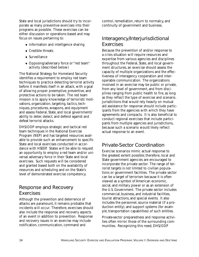<span id="page-20-0"></span>State and local jurisdictions should try to incorporate as many preventive exercises into their programs as possible. These exercises can be either discussion or operations based and may focus on issues pertaining to:

- ♦ Information and intelligence sharing
- ♦ Credible threats
- ♦ Surveillance
- ♦ Opposing/adversary force or "red team" activity (described below)

The National Strategy for Homeland Security identifies a requirement to employ red team techniques to practice detecting terrorist activity before it manifests itself in an attack, with a goal of allowing proper preemptive, preventive, and protective actions to be taken. The red team mission is to apply knowledge of terrorists' motivations, organization, targeting, tactics, techniques, procedures, weapons, and equipment and assess Federal, State, and local governments' ability to deter, detect, and defend against and defeat terrorist attacks.

DHS/ODP employs strategic and tactical red team techniques in the National Exercise Program (NEP) and has targeted resources available to provide such an enhancement to specific State and local exercises conducted in accordance with HSEEP. States will be able to request an opportunity to employ a red team and/or universal adversary force in their State and local exercises. Such requests will be considered and granted based both on the availability of resources and scheduling and on the State's level of demonstrated exercise competency.

### Response and Recovery Exercises

Although the prevention and deterrence of attacks are paramount, it remains probable that incidents will occur. Therefore, exercises should also include the response and recovery aspects of an event in addition to prevention. Response and recovery issues in an exercise may include notification, communication, command and

control, remediation, return to normalcy, and continuity of government and business.

# Interagency/Interjurisdictional Exercises

Because the prevention of and/or response to a crisis situation will require resources and expertise from various agencies and disciplines throughout the Federal, State, and local government structures, an exercise should assess the capacity of multiple organizations and the effectiveness of interagency cooperation and interoperable communication. The organizations involved in an exercise may be public or private, from any level of government, and from disciplines ranging from public health to fire, as long as they reflect the type of exercise and scenario. Jurisdictions that would rely heavily on mutual aid assistance for response should include participants from the agencies with which they have agreements and compacts. It is also beneficial to conduct regional exercises that include participants from multiple agencies and jurisdictions, because such a scenario would likely reflect actual response to an event.

# Private-Sector Coordination

Exercise scenarios mimic actual response to the greatest extent possible; therefore, local and State government agencies are encouraged to incorporate the private sector. The range of terrorist targets is not limited to civilian populations or government facilities. The private sector can be a target of terrorism because it is often viewed as a symbol of American economic, social, and military power or as an extension of the U.S. Government. The private sector includes commercial, business, and industrial facilities, tourist attractions, and special events. It also includes the personnel, source material (if a production entity), and support systems (for example, transportation capabilities) of such entities.

Private-sector preparedness and response activities often mirror those of the surrounding communities. Recognizing this need, DHS/ODP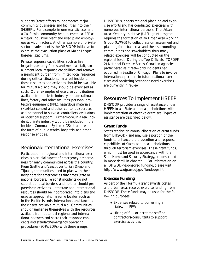<span id="page-21-0"></span>supports States' efforts to incorporate major community businesses and facilities into their SHSEEPs. For example, in one realistic scenario, a California community held its chemical FSE at a major industrial plant and used plant employees as victim actors. Another example of privatesector involvement is the DHS/ODP initiative to exercise the evacuation plans of Major League Baseball stadiums.

Private response capabilities, such as fire brigades, security forces, and medical staff, can augment local response capabilities and remove a significant burden from limited local resources during critical situations. In a real incident. these resources and activities should be available for mutual aid, and they should be exercised as such. Other examples of exercise contributions available from private industry include railroad lines, factory and other facilities, personal protective equipment (PPE), hazardous materials (HazMat) control and other content expertise, and personnel to serve as controllers, evaluators, or logistical support. Furthermore, in a real incident, private industry would be included in the Incident Command System (ICS) structure in the form of public works, hospitals, and other response entities.

# Regional/International Exercises

Participation in regional and international exercises is a crucial aspect of emergency preparedness for many communities across the country. From Seattle and Vancouver to San Diego and Tijuana, communities need to plan with their neighbors for emergencies that cross State or national borders. Terrorist incidents do not stop at political borders, and neither should preparedness activities. Interstate and international resources should be incorporated into plans and used as appropriate. In some locales, such as in the Pacific Islands, international assistance is the closest available mutual aid. Communities should familiarize themselves with the resources available from potential regional and international partners and share their response concepts and standard/emergency operating procedures (SOPs/EOPs) with these groups.

DHS/ODP supports regional planning and exercise efforts and has conducted exercises with numerous international partners. The Urban Areas Security Initiative (UASI) grant program requires the formation of an Urban Area Working Group (UAWG) to collaborate on assessment and planning for urban areas and their surrounding communities and stakeholders; thus, many related exercises will be conducted on the regional level. During the Top Officials (TOPOFF 2) National Exercise Series, Canadian agencies participated as if real-world incidents had occurred in Seattle or Chicago. Plans to involve international partners in future national exercises and bordering State-sponsored exercises are currently in review.

# Resources To Implement HSEEP

DHS/ODP provides a range of assistance under HSEEP to aid State and local jurisdictions with implementation of effective exercises. Types of assistance are described below.

#### **Grant Funds**

States receive an annual allocation of grant funds from DHS/ODP and may use a portion of the funds to enhance the prevention and response capabilities of States and local jurisdictions through terrorism exercises. These grant funds, which must be used in accordance with the State Homeland Security Strategy, are described in more detail in chapter 1. For information on all DHS/ODP-sponsored funding, please visit http://www.ojp.usdoj.gov/fundopps.htm.

#### **Exercise Funding**

As part of their formula grant awards, States and urban areas receive exercise funding from DHS/ODP. These funds may be used for the following purposes:

- ♦ Expenses related to convening a statewide EPW
- ♦ Hiring of full- or part-time staff or contractors/consultants to support exercise activities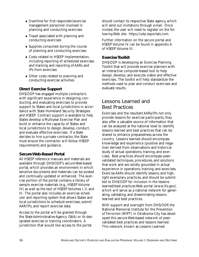- <span id="page-22-0"></span>♦ Overtime for first responder/exercise management personnel involved in planning and conducting exercises
- ♦ Travel associated with planning and conducting exercises
- ♦ Supplies consumed during the course of planning and conducting exercises
- ♦ Costs related to HSEEP implementation, including reporting of scheduled exercises and tracking and reporting of AARs and IPs from exercises
- ♦ Other costs related to planning and conducting exercise activities

#### **Direct Exercise Support**

DHS/ODP has engaged multiple contractors with significant experience in designing, conducting, and evaluating exercises to provide support to States and local jurisdictions in accordance with State Homeland Security Strategies and HSEEP. Contract support is available to help States develop a Multiyear Exercise Plan and build or enhance the capacity of States and local jurisdictions to design, develop, conduct, and evaluate effective exercises. If a State decides to hire a private contractor, the State must ensure the contractor will follow HSEEP requirements and guidance.

#### **Secure Web-Based Portal**

All HSEEP reference manuals and materials are available through DHS/ODP's secure Web-based portal, which provides an environment in which sensitive documents and materials can be posted and continually updated or enhanced. The exercise portion of the portal contains a library of sample exercise materials (e.g., HSEEP Volume IV) as well as the text of HSEEP Volumes I, II, and III. The portal also includes an exercise scheduler and reporting system that allows States and local jurisdictions to schedule exercises, submit AAR/IPs, and report exercise data.

Access to the portal will be granted through the State Administrative Agency (SAA) or its designated exercise or training coordinators. A jurisdiction that would like access to the portal

should contact its respective State agency, which will send out invitations through e-mail. Once invited, the user will need to register on the following Web site: https://odp.esportals.com.

Further information on the secure portal and HSEEP Volume IV can be found in appendix A of HSEEP Volume III.

#### **Exercise Toolkit**

DHS/ODP is developing an Exercise Planning Toolkit that will provide exercise planners with an interactive computer-based tool to help design, develop, and execute viable and effective exercises. The toolkit will help standardize the methods used to plan and conduct exercises and evaluate results.

# Lessons Learned and Best Practices

Exercises and the resultant AARs/IPs not only provide lessons for exercise participants, they also offer a valuable source of information that can be analyzed at the national level to identify lessons learned and best practices that can be shared to enhance preparedness across the country. Lessons learned should encompass knowledge and experience (positive and negative) derived from observations and historical study of actual operations, training, and exercises. Best practices should encompass peervalidated techniques, procedures, and solutions that work and are solidly grounded in actual experience in operations, training, and exercises. Exercise AARs should identify lessons and highlight exemplary practices, and should be submitted to DHS/ODP for inclusion in the lessons learned/best practices Web portal (www.llis.gov), which will serve as a national network for generating, validating, and disseminating lessons learned and best practices.

With support and oversight from DHS/ODP, the National Memorial Institute for the Prevention of Terrorism (MIPT) in Oklahoma City has developed this secure Web-based network of peervalidated best practices and lessons learned. This network, known as Lessons Learned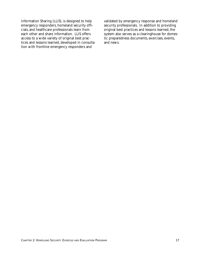Information Sharing (LLIS), is designed to help emergency responders, homeland security officials, and healthcare professionals learn from each other and share information. LLIS offers access to a wide variety of original best practices and lessons learned, developed in consultation with frontline emergency responders and

validated by emergency response and homeland security professionals. In addition to providing original best practices and lessons learned, the system also serves as a clearinghouse for domestic preparedness documents, exercises, events, and news.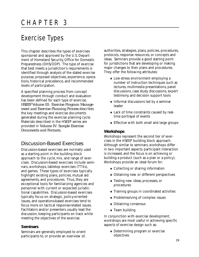# <span id="page-24-0"></span>Exercise Types

This chapter describes the types of exercises sponsored and approved by the U.S. Department of Homeland Security, Office for Domestic Preparedness (DHS/ODP). The type of exercise that best meets a jurisdiction's requirements is identified through analysis of the stated exercise purpose, proposed objectives, experience, operations, historical precedence, and recommended levels of participation.

A specified planning process from concept development through conduct and evaluation has been defined for each type of exercise. *HSEEP Volume III: Exercise Program Management and Exercise Planning Process* describes the key meetings and exercise documents generated during the exercise planning cycle. Materials described in the HSEEP series are provided in *Volume IV: Sample Exercise Documents and Formats.* 

# Discussion-Based Exercises

Discussion-based exercises are normally used as a starting point in the building block approach to the cycle, mix, and range of exercises. Discussion-based exercises include seminars, workshops, tabletop exercises (TTXs), and games. These types of exercises typically highlight existing plans, policies, mutual aid agreements, and procedures. Thus, they are exceptional tools for familiarizing agencies and personnel with current or expected jurisdictional capabilities. Discussion-based exercises typically focus on strategic, policy-oriented issues, and operations-based exercises tend to focus more on tactical response-related issues. Facilitators and/or presenters usually lead the discussion, keeping participants on track while meeting the objectives of the exercise.

#### **Seminars**

Seminars are generally employed to orient participants to, or provide an overview of,

authorities, strategies, plans, policies, procedures, protocols, response resources, or concepts and ideas. Seminars provide a good starting point for jurisdictions that are developing or making major changes to their plans and procedures. They offer the following attributes:

- ♦ Low-stress environment employing a number of instruction techniques such as lectures, multimedia presentations, panel discussions, case study discussions, expert testimony, and decision support tools
- ♦ Informal discussions led by a seminar leader
- ♦ Lack of time constraints caused by realtime portrayal of events
- $\triangle$  Effective with both small and large groups

#### **Workshops**

Workshops represent the second tier of exercises in the HSEEP building block approach. Although similar to seminars, workshops differ in two important aspects: participant interaction is increased, and the focus is on achieving or building a product (such as a plan or a policy). Workshops provide an ideal forum for:

- ♦ Collecting or sharing information
- ♦ Obtaining new or different perspectives
- ♦ Testing new ideas, processes, or procedures
- ♦ Training groups in coordinated activities
- ♦ Problemsolving of complex issues
- ♦ Obtaining consensus
- ♦ Team building

In conjunction with exercise development, workshops are most useful in achieving specific aspects of exercise design such as:

♦ Determining program or exercise objectives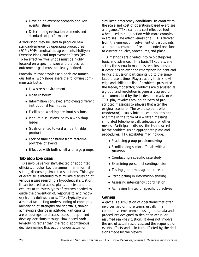- <span id="page-25-0"></span>♦ Developing exercise scenario and key events listings
- ♦ Determining evaluation elements and standards of performance

A workshop may be used to produce new standard/emergency operating procedures (SOPs/EOPs), mutual aid agreements, Multiyear Exercise Plans, and Improvement Plans (IPs). To be effective, workshops must be highly focused on a specific issue and the desired outcome or goal must be clearly defined.

Potential relevant topics and goals are numerous, but all workshops share the following common attributes:

- ♦ Low-stress environment
- ♦ No-fault forum
- ♦ Information conveyed employing different instructional techniques
- ♦ Facilitated, working breakout sessions
- ♦ Plenum discussions led by a workshop leader
- ♦ Goals oriented toward an identifiable product
- ♦ Lack of time constraint from real-time portrayal of events
- ♦ Effective with both small and large groups

#### **Tabletop Exercises**

TTXs involve senior staff, elected or appointed officials, or other key personnel in an informal setting, discussing simulated situations. This type of exercise is intended to stimulate discussion of various issues regarding a hypothetical situation. It can be used to assess plans, policies, and procedures or to assess types of systems needed to guide the prevention of, response to, and recovery from a defined event. TTXs typically are aimed at facilitating understanding of concepts, identifying of strengths and shortfalls, and/or achieving a change in attitude. Participants are encouraged to discuss issues in depth and develop decisions through slow-paced problemsolving rather than the rapid, spontaneous decisionmaking that occurs under actual or

simulated emergency conditions. In contrast to the scale and cost of operations-based exercises and games,TTXs can be a cost-effective tool when used in conjunction with more complex exercises. The effectiveness of a TTX is derived from the energetic involvement of participants and their assessment of recommended revisions to current policies, procedures, and plans.

TTX methods are divided into two categories: basic and advanced. In a basic TTX, the scene set by the scenario materials remains constant. It describes an event or emergency incident and brings discussion participants up to the simulated present time. Players apply their knowledge and skills to a list of problems presented the leader/moderator, problems are discussed as a group, and resolution is generally agreed on and summarized by the leader. In an advanced TTX, play revolves around delivery of prescripted messages to players that alter the original scenario. The exercise controller (moderator) usually introduces problems one at a time in the form of a written message, simulated telephone call, videotape, or other means. Participants discuss the issues raised by the problem, using appropriate plans and procedures. TTX attributes may include:

- ♦ Practicing group problemsolving
- ♦ Familiarizing senior officials with a situation
- ♦ Conducting a specific case study
- ♦ Examining personnel contingencies
- ♦ Testing group message interpretation
- ♦ Participating in information sharing
- ♦ Assessing interagency coordination
- ♦ Achieving limited or specific objectives

#### **Games**

A game is a simulation of operations that often involves two or more teams, usually in a competitive environment, using rules, data, and procedures designed to depict an actual or assumed real-life situation. It does not involve the use of actual resources, and the sequence of events affects, and is in turn affected by, the decisions made by the players.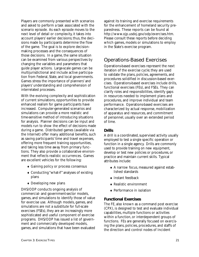<span id="page-26-0"></span>Players are commonly presented with scenarios and asked to perform a task associated with the scenario episode. As each episode moves to the next level of detail or complexity, it takes into account players' earlier decisions; thus, the decisions made by participants determine the flow of the game. The goal is to explore decisionmaking processes and the consequences of those decisions. In a game, the same situation can be examined from various perspectives by changing the variables and parameters that guide player actions. Large-scale games can be multijurisdictional and include active participation from Federal, State, and local governments. Games stress the importance of planners' and players' understanding and comprehension of interrelated processes.

With the evolving complexity and sophistication of current simulations, opportunities to provide enhanced realism for game participants have increased. Computer-generated scenarios and simulations can provide a more realistic and time-sensitive method of introducing situations for analysis. Planner decisions can be input and models run to show the effect of decisions made during a game. Distributed games (available via the Internet) offer many additional benefits, such as saving participants' time and travel expenses, offering more frequent training opportunities, and taking less time away from primary functions. They also provide a collaborative environment that reflects realistic occurrences. Games are excellent vehicles for the following:

- ♦ Gaining policy or process consensus
- ♦ Conducting "what-if" analyses of existing plans
- ♦ Developing new plans

DHS/ODP conducts ongoing analysis of commercial- and government-sector models, games, and simulations to identify those of value for exercise use. Although models, games, and simulations are not a substitute for full-scale exercises (FSEs), they are an increasingly more sophisticated and useful component of exercise programs. DHS/ODP has issued a list of government and commercially developed models, games, and simulations that have been evaluated

against its training and exercise requirements for the enhancement of homeland security preparedness. These reports can be found at http://www.ojp.usdoj.gov/odp/exercises.htm. Please consult these reports before deciding which games, models or simulations to employ in the State's exercise program.

# Operations-Based Exercises

Operations-based exercises represent the next iteration of the exercise cycle; they are used to validate the plans, policies, agreements, and procedures solidified in discussion-based exercises. Operations-based exercises include drills, functional exercises (FEs), and FSEs. They can clarify roles and responsibilities, identify gaps in resources needed to implement plans and procedures, and improve individual and team performance. Operations-based exercises are characterized by actual response, mobilization of apparatus and resources, and commitment of personnel, usually over an extended period of time.

#### **Drills**

A drill is a coordinated, supervised activity usually employed to test a single specific operation or function in a single agency. Drills are commonly used to provide training on new equipment, develop or test new policies or procedures, or practice and maintain current skills. Typical attributes include:

- ♦ A narrow focus, measured against established standards
- ♦ Instant feedback
- ♦ Realistic environment
- ♦ Performance in isolation

#### **Functional Exercises**

The FE, also known as a command post exercise (CPX), is designed to test and evaluate individual capabilities, multiple functions or activities within a function, or interdependent groups of functions. FEs are generally focused on exercising the plans, policies, procedures, and staffs of the direction and control nodes of Incident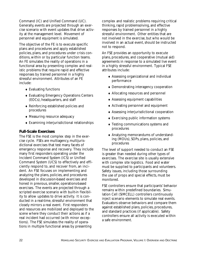<span id="page-27-0"></span>Command (IC) and Unified Command (UC). Generally, events are projected through an exercise scenario with event updates that drive activity at the management level. Movement of personnel and equipment is simulated.

The objective of the FE is to execute specific plans and procedures and apply established policies, plans, and procedures under crisis conditions, within or by particular function teams. An FE simulates the reality of operations in a functional area by presenting complex and realistic problems that require rapid and effective responses by trained personnel in a highly stressful environment. Attributes of an FE include:

- ♦ Evaluating functions
- ♦ Evaluating Emergency Operations Centers (EOCs), headquarters, and staff
- ♦ Reinforcing established policies and procedures
- ♦ Measuring resource adequacy
- ♦ Examining interjurisdictional relationships

#### **Full-Scale Exercises**

The FSE is the most complex step in the exercise cycle. FSEs are multiagency, multijurisdictional exercises that test many facets of emergency response and recovery. They include many first responders operating under the Incident Command System (ICS) or Unified Command System (UCS) to effectively and efficiently respond to, and recover from, an incident. An FSE focuses on implementing and analyzing the plans, policies, and procedures developed in discussion-based exercises and honed in previous, smaller, operations-based exercises. The events are projected through a scripted exercise scenario with built-in flexibility to allow updates to drive activity. It is conducted in a real-time, stressful environment that closely mirrors a real event. First responders and resources are mobilized and deployed to the scene where they conduct their actions as if a real incident had occurred (with minor exceptions). The FSE simulates the reality of operations in multiple functional areas by presenting

complex and realistic problems requiring critical thinking, rapid problemsolving, and effective responses by trained personnel in a highly stressful environment. Other entities that are not involved in the exercise, but who would be involved in an actual event, should be instructed not to respond.

An FSE provides an opportunity to execute plans, procedures, and cooperative (mutual aid) agreements in response to a simulated live event in a highly stressful environment. Typical FSE attributes include:

- ♦ Assessing organizational and individual performance
- ♦ Demonstrating interagency cooperation
- ♦ Allocating resources and personnel
- ♦ Assessing equipment capabilities
- ♦ Activating personnel and equipment
- ♦ Assessing interjurisdictional cooperation
- ♦ Exercising public information systems
- ♦ Testing communications systems and procedures
- ♦ Analyzing memorandums of understanding (MOUs), SOPs, plans, policies, and procedures

The level of support needed to conduct an FSE is greater than needed during other types of exercises. The exercise site is usually extensive with complex site logistics. Food and water must be supplied to participants and volunteers. Safety issues, including those surrounding the use of props and special effects, must be monitored.

FSE controllers ensure that participants' behavior remains within predefined boundaries. Simulation Cell (SIMCELL) controllers continuously inject scenario elements to simulate real events. Evaluators observe behaviors and compare them against established plans, policies, procedures, and standard practices (if applicable). Safety controllers ensure all activity is executed within a safe environment.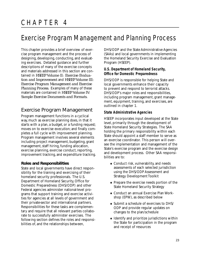# <span id="page-28-0"></span>Exercise Program Management and Planning Process

This chapter provides a brief overview of exercise program management and the process of designing, developing, conducting, and evaluating exercises. Detailed guidance and further descriptions of many of the exercise concepts and materials addressed in this section are contained in *HSEEP Volume II: Exercise Evaluation and Improvement* and *HSEEP Volume III: Exercise Program Management and Exercise Planning Process*. Examples of many of these materials are contained in *HSEEP Volume IV: Sample Exercise Documents and Formats.* 

# Exercise Program Management

Program management functions in a cyclical way, much as exercise planning does, in that it starts with a plan, a budget, or a funding request; moves on to exercise execution; and finally completes a full cycle with improvement planning. Program management involves several elements including project management, budgeting, grant management, staff hiring, funding allocation, exercise planning, exercise conduct, reporting, improvement tracking, and expenditure tracking.

#### **Roles and Responsibilities**

State and local governments have direct responsibility for the training and exercising of their homeland security professionals. The U.S. Department of Homeland Security, Office for Domestic Preparedness (DHS/ODP) and other Federal agencies administer national-level programs that support training and exercise activities for agencies at all levels of government and their private-sector and international partners. Responsibilities for these tasks are complementary and require that all relevant parties collaborate to successfully administer exercises. The following section defines the roles and responsibilities of, and the relationships between,

DHS/ODP and the State Administrative Agencies (SAAs) and local governments in implementing the Homeland Security Exercise and Evaluation Program (HSEEP).

#### **U.S. Department of Homeland Security, Office for Domestic Preparedness**

DHS/ODP is responsible for helping State and local governments enhance their capacity to prevent and respond to terrorist attacks. DHS/ODP's major roles and responsibilities, including program management, grant management, equipment, training, and exercises, are outlined in chapter 1.

#### **State Administrative Agencies**

HSEEP incorporates input developed at the State level, primarily through the development of State Homeland Security Strategies. The SAA holding the primary responsibility within each State should appoint a staff member to serve as an exercise coordinator. This person will oversee the implementation and management of the State's exercise program and the exercise design and development process. Other SAA responsibilities are to:

- ♦ Conduct risk, vulnerability, and needs assessments of each selected jurisdiction using the DHS/ODP Assessment and Strategy Development Toolkit
- ♦ Prepare the exercise needs portion of the State Homeland Security Strategy
- ♦ Conduct an annual Exercise Plan Workshop (EPW), as described below
- ♦ Submit a schedule of exercises to DHS/ ODP and provide regular updates on changes to the plan/schedule
- $\triangleleft$  Identify and prioritize jurisdictions within the State for participation in the program and receipt of resources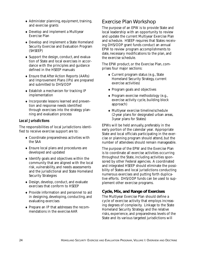- <span id="page-29-0"></span>♦ Administer planning, equipment, training, and exercise grants
- ♦ Develop and implement a Multiyear Exercise Plan
- ♦ Develop and implement a State Homeland Security Exercise and Evaluation Program (SHSEEP)
- ♦ Support the design, conduct, and evaluation of State and local exercises in accordance with the principles and guidance defined in the HSEEP manuals
- ♦ Ensure that After Action Reports (AARs) and Improvement Plans (IPs) are prepared and submitted to DHS/ODP
- ♦ Establish a mechanism for tracking IP implementation
- ♦ Incorporate lessons learned and prevention and response needs identified through exercises into the strategy planning and evaluation process

#### **Local Jurisdictions**

The responsibilities of local jurisdictions identified to receive exercise support are to:

- ♦ Coordinate preparedness activities with the SAA
- ♦ Ensure local plans and procedures are developed and updated
- ♦ Identify goals and objectives within the community that are aligned with the local risk, vulnerability, and needs assessments and the jurisdictional and State Homeland Security Strategies
- ♦ Design, develop, conduct, and evaluate exercises that conform to HSEEP
- ♦ Provide information and personnel to aid in designing, developing, conducting, and evaluating exercises
- ♦ Prepare an IP that addresses the recommendations in the exercise AAR

# Exercise Plan Workshop

The purpose of an EPW is to provide State and local leadership with an opportunity to review and update the current Multiyear Exercise Plan and schedule. HSEEP requires that States receiving DHS/ODP grant funds conduct an annual EPW to review program accomplishments to date, necessary modifications to the plan, and the exercise schedule.

The EPW product, or the Exercise Plan, comprises four major sections:

- ♦ Current program status (e.g., State Homeland Security Strategy, current exercise activities)
- ♦ Program goals and objectives
- ♦ Program exercise methodology (e.g., exercise activity cycle, building block approach)
- ♦ Multiyear exercise timeline/schedule (2-year plans for designated urban areas, 3-year plans for States)

EPWs will be held annually, preferably in the early portion of the calendar year. Appropriate State and local officials participating in the exercise or planning program should attend, but the number of attendees should remain manageable.

The purpose of the EPW and the Exercise Plan is to coordinate all exercise activities occurring throughout the State, including activities sponsored by other Federal agencies. A coordinated and integrated HSEEP should eliminate the possibility of States and local jurisdictions conducting numerous exercises and putting forth duplicative efforts. DHS/ODP funds can be used to supplement other exercise programs.

#### **Cycle, Mix, and Range of Exercises**

The Multiyear Exercise Plan should define a cycle of exercise activity that employs increasing degrees of complexity. Linkage to the State Homeland Security Strategy and the relative risks, experience, and preparedness levels of the State and its various targeted jurisdictions will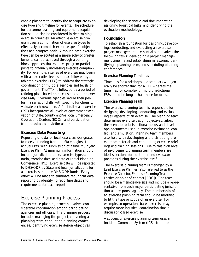<span id="page-30-0"></span>enable planners to identify the appropriate exercise type and timeline for events. The schedule for personnel training and equipment acquisition should also be considered in determining exercise priorities. An effective exercise program uses a combination of exercise types to effectively accomplish exercise-specific objectives and program goals. Although each exercise type can be executed as a single activity, greater benefits can be achieved through a building block approach that exposes program participants to gradually increasing exercise complexity. For example, a series of exercises may begin with an executive-level seminar followed by a tabletop exercise (TTX) to address the strategic coordination of multiple agencies and levels of government. The TTX is followed by a period of refining plans based on discussions and the exercise AAR/IP. Various agencies would then perform a series of drills with specific functions to validate each new plan. A final full-scale exercise (FSE) incorporates all levels of government; activation of State, county, and/or local Emergency Operations Centers (EOCs); and participation from hospitals and victim actors.

#### **Exercise Data Reporting**

Reporting of data for local exercises designated to receive funding from the State begins at the annual EPW with submission of a final Multiyear Exercise Plan. At minimum, information should include jurisdiction name, exercise type, scenario, exercise date, and date of Initial Planning Conference (IPC). Exercise data will be reported to DHS/ODP by State and local jurisdictions for all exercises that use DHS/ODP funds. Every effort will be made to eliminate redundant data reporting by identifying reporting dates and requirements for each report.

# Exercise Planning Process

The exercise planning process involves considerable coordination among participating agencies and officials. The planning process includes managing the project, convening a planning team, conducting planning conferences, identifying exercise design objectives, developing the scenario and documentation, assigning logistical tasks, and identifying the evaluation methodology.

#### **Foundation**

To establish a foundation for designing, developing, conducting, and evaluating an exercise, project management is essential and involves the following tasks: developing a project management timeline and establishing milestones, identifying a planning team, and scheduling planning conferences.

#### **Exercise Planning Timelines**

Timelines for workshops and seminars will generally be shorter than for a TTX whereas the timelines for complex or multijurisdictional FSEs could be longer than those for drills.

#### **Exercise Planning Team**

The exercise planning team is responsible for designing, developing, conducting, and evaluating all aspects of an exercise. The planning team determines exercise design objectives, tailors the scenario to jurisdictional needs, and develops documents used in exercise evaluation, control, and simulation. Planning team members also help with developing and distributing preexercise materials and conducting exercise briefings and training sessions. Due to this high level of involvement, planning team members are ideal selections for controller and evaluator positions during the exercise itself.

The exercise planning team is managed by a Lead Exercise Planner (also referred to as the Exercise Director, Exercise Planning Team Leader, or point of contact [POC]). The team should be a manageable size and include a representative from each major participating jurisdiction and response agency. The membership of an exercise planning team should be modified to fit the type or scope of an exercise. For example, an operations-based exercise may require more logistical coordination than a discussion-based exercise.

A successful exercise planning team uses an Incident Command System (ICS) structure;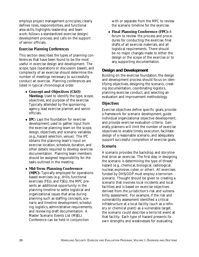<span id="page-31-0"></span>employs project management principles; clearly defines roles, responsibilities, and functional area skills; highlights leadership and team work; follows a standardized exercise design/ development process; and calls on the support of senior officials.

#### **Exercise Planning Conferences**

This section describes the types of planning conferences that have been found to be the most useful in exercise design and development. The scope, type (operations or discussion based), and complexity of an exercise should determine the number of meetings necessary to successfully conduct an exercise. Planning conferences are listed in typical chronological order.

- ♦ **Concept and Objectives (C&O) Meeting:** Used to identify the type, scope, objectives, and purpose of the exercise. Typically attended by the sponsoring agency, lead exercise planner, and senior officials.
- ♦ **IPC:** Lays the foundation for exercise development; used to gather input from the exercise planning team on the scope, design, objectives, and scenario variables (e.g., hazard selection, venue). The IPC obtains the planning team's input on exercise location, schedule, duration, and other details required to develop exercise documentation. Planning team members should be assigned responsibility for the tasks outlined in the meeting.
- ♦ **Mid-Term Planning Conference (MPC):** Typically employed for operationsbased exercises (e.g., drills, functional exercises (FEs), and FSEs), the MPC presents an additional opportunity in the planning timeline to settle logistical and organizational issues that arise during planning such as staffing concepts, scenario and timeline development, scheduling, logistics, administrative requirements, and reviewing draft documentation. A Master Scenario Events List (MSEL) Conference can be held in conjunction

with or separate from the MPC to review the scenario timeline for the exercise.

♦ **Final Planning Conference (FPC):** A forum to review the process and procedures for conducting the exercise, final drafts of all exercise materials, and all logistical requirements. There should be no major changes made to either the design or the scope of the exercise or to any supporting documentation.

#### **Design and Development**

Building on the exercise foundation, the design and development process should focus on identifying objectives, designing the scenario, creating documentation, coordinating logistics, planning exercise conduct, and selecting an evaluation and improvement methodology.

#### **Objectives**

Exercise objectives define specific goals, provide a framework for scenario development, guide individual organizational objective development, and provide exercise evaluation criteria. Generally, planners will limit the number of exercise objectives to enable timely execution, facilitate design of a reasonable scenario, and adequately support successful completion of exercise goals.

#### **Scenario**

A scenario provides the backdrop and storyline that drive an exercise. The first step in designing the scenario is determining the type of threat/ hazard (e.g., chemical, biological, radiological, nuclear, explosive, cyber, or other). All exercises funded by DHS/ODP must employ a terrorism scenario. Thought should be given to creating a scenario that involves local incidents and local facilities and is based on exercise objectives derived from the jurisdiction's risk and vulnerability assessment. For example, if the risk and vulnerability assessment identified a critical infrastructure at a local facility (such as a refinery or chemical plant) as a vulnerable target, the scenario could describe a terrorist event at that facility. Each type of hazard presents its own strengths and weaknesses for evaluating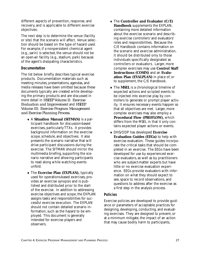<span id="page-32-0"></span>different aspects of prevention, response, and recovery, and is applicable to different exercise objectives.

The next step is to determine the venue (facility or site) that the scenario will affect. Venue selection should be based on the type of hazard used. For example, if a nonpersistent chemical agent (e.g., sarin) is selected, the venue should not be an open-air facility (e.g., stadium, park) because of the agent's dissipating characteristics.

#### **Documentation**

The list below briefly describes typical exercise products. Documentation materials such as meeting minutes, presentations, agendas, and media releases have been omitted because these documents typically are created while developing the primary products and are discussed in more detail in *HSEEP Volume II: Exercise Evaluation and Improvement* and *HSEEP Volume III: Exercise Program Management and Exercise Planning Process.* 

- ♦ A **Situation Manual (SITMAN)** is a participant handbook for discussion-based exercises, particularly TTXs. It provides background information on the exercise scope, schedule, and objectives. It also presents the scenario narrative that will drive participant discussions during the exercise. The SITMAN should mirror the multimedia briefing, supporting the scenario narrative and allowing participants to read along while watching events unfold.
- ♦ The **Exercise Plan (EXPLAN),** typically used for operations-based exercises, provides an exercise synopsis and is published and distributed prior to the start of the exercise. In addition to addressing exercise objectives and scope, the EXPLAN assigns tasks and responsibilities for successful exercise execution. The EXPLAN should not contain detailed scenario information, such as the hazard to be employed. This document is generally intended for exercise players and observers.
- ♦ The **Controller and Evaluator (C/E) Handbook** supplements the EXPLAN, containing more detailed information about the exercise scenario and describing exercise controllers' and evaluators' roles and responsibilities. Because the C/E Handbook contains information on the scenario and exercise administration, it should be distributed only to those individuals specifically designated as controllers or evaluators. Larger, more complex exercises may use **Control Staff Instructions (COSIN)** and an **Evaluation Plan (EVALPLAN)** in place of, or to supplement, the C/E Handbook.
- ♦ The **MSEL** is a chronological timeline of expected actions and scripted events to be injected into exercise play by controllers to generate or prompt player activity. It ensures necessary events happen so that all objectives are met. Larger, more complex exercises may also employ a **Procedural Flow (PROFLOW),** which differs from the MSEL in that it only contains expected player actions or events.
- ♦ DHS/ODP has developed **Exercise Evaluation Guides (EEGs)** to help with exercise evaluation. These guides incorporate the critical tasks that should be completed in an exercise. The EEGs have been developed for use by experienced exercise evaluators, as well as by practitioners who are subject-matter experts but have little or no exercise evaluation experience. EEGs provide evaluators with information on what they should expect to see, space to record observations, and questions to address after the exercise as a first step in the analysis process.

#### **Policies**

Exercise policies are developed to provide guidance or parameters of acceptable practices for designing, developing, conducting, and evaluating exercises. They are designed to prevent, or at a minimum mitigate, the impact of an action that may cause bodily harm to participants,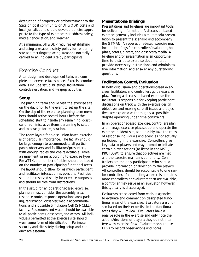<span id="page-33-0"></span>destruction of property, or embarrassment to the State or local community or DHS/ODP. State and local jurisdictions should develop policies appropriate to the type of exercise that address safety, media, cancellation, and weather.

At a minimum, DHS/ODP requires establishing and using a weapons safety policy for rendering safe and marking/replacing weapons normally carried to an incident site by participants.

### Exercise Conduct

After design and development tasks are complete, the exercise takes place. Exercise conduct details include setup, briefings, facilitation/ control/evaluation, and wrapup activities.

#### **Setup**

The planning team should visit the exercise site on the day prior to the event to set up the site. On the day of the exercise, planning team members should arrive several hours before the scheduled start to handle any remaining logistical or administrative items pertaining to setup and to arrange for registration.

The room layout for a discussion-based exercise is of particular importance. The facility should be large enough to accommodate all participants, observers, and facilitators/presenters, with enough tables and chairs available. Table arrangement varies according to exercise type. For a TTX, the number of tables should be based on the number of participating functional areas. The layout should allow for as much participant and facilitator interaction as possible. Facilities should be reserved solely for exercise purposes and should be free from distractions.

In the setup for an operations-based exercise, planners must consider the assembly area, response route, response operations area, parking, registration, observer/media accommodations, and a possible Simulation Cell (SIMCELL) facility. Restrooms and water should be available to all participants, observers, and actors. All individuals permitted at the exercise site should wear some form of identification. Perimeter security and site safety during setup and conduct are essential.

#### **Presentations/Briefings**

Presentations and briefings are important tools for delivering information. A discussion-based exercise generally includes a multimedia presentation to present the scenario and accompany the SITMAN. An operations-based exercise may include briefings for controllers/evaluators, hospitals, actors, players, and observers/media. A briefing and/or presentation is an opportune time to distribute exercise documentation, provide necessary instructions and administrative information, and answer any outstanding questions.

#### **Facilitation/Control/Evaluation**

In both discussion- and operations-based exercises, facilitators and controllers guide exercise play. During a discussion-based exercise, the facilitator is responsible for keeping participant discussions on track with the exercise design objectives and making sure all issues and objectives are explored as thoroughly as possible despite operating under time constraints.

In an operations-based exercise, controllers plan and manage exercise play, set up and operate the exercise incident site, and possibly take the roles of response individuals and agencies not actually participating in the exercise. Controllers give key data to players and may prompt or initiate certain player actions (as listed in the MSEL/ PROFLOW) to ensure that objectives are met and the exercise maintains continuity. Controllers are the only participants who should provide information or direction to the players. All controllers should be accountable to one senior controller. If conducting an exercise requires more controllers or evaluators than are available, a controller may serve as an evaluator; however, this typically is discouraged.

Evaluators are selected from various agencies to evaluate and comment on designated functional areas of the exercise. Evaluators are chosen based on their expertise in the functional areas they will review. Evaluators have a passive role in the exercise and only note the actions/decisions of players; they do not interfere with exercise flow. Evaluators should use EEGs to record observations and notes.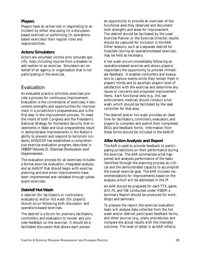#### <span id="page-34-0"></span>**Players**

Players have an active role in responding to an incident by either discussing (in a discussionbased exercise) or performing (in operationsbased exercises) their regular roles and responsibilities.

#### **Actors/Simulators**

Actors are volunteer victims who simulate specific roles, including injuries from a disaster, to add realism to an exercise. Simulators act on behalf of an agency or organization that is not participating in the exercise.

#### Evaluation

As evaluated practice activities, exercises provide a process for continuous improvement. Evaluation is the cornerstone of exercises; it documents strengths and opportunities for improvement in a jurisdiction's preparedness and is the first step in the improvement process. To meet the intent of both Congress and the President's National Strategy for Homeland Security that investments in State and local preparedness result in demonstrable improvements in the Nation's ability to prevent and respond to terrorism incidents, DHS/ODP has established a comprehensive exercise evaluation program, described in *HSEEP Volume II: Exercise Evaluation and Improvement.* 

The evaluation process for all exercises includes a formal exercise evaluation, integrated analysis, and an AAR/IP that should begin with exercise planning and end when improvements have been implemented and validated through subsequent exercises.

#### **Debrief/Hot Wash**

A debrief (for facilitators or controllers/ evaluators) and/or hot wash (for players) should occur following both discussion- and operations-based exercises.

The debrief is a forum for planners, facilitators, controllers, and evaluators to review and provide feedback on the exercise. It should be a facilitated discussion that allows each person

an opportunity to provide an overview of the functional area they observed and document both strengths and areas for improvement. The debrief should be facilitated by the Lead Exercise Planner or the Exercise Director; results should be captured for inclusion in the AAR. Other sessions, such as a separate debrief for hospitals (during an operations-based exercise), may be held as necessary.

A hot wash occurs immediately following an operations-based exercise and allows players/ responders the opportunity to provide immediate feedback. It enables controllers and evaluators to capture events while they remain fresh in players' minds and to ascertain players' level of satisfaction with the exercise and determine any issues or concerns and proposed improvement items. Each functional area (e.g., fire, law enforcement, medical) should conduct a hot wash, which should be facilitated by the lead controller for that area.

The debrief and/or hot wash provides an ideal time for facilitators, controllers, evaluators, and players to complete and submit their completed EEGs and feedback forms. Information from these forms should be included in the AAR/IP.

#### **After Action Analysis and Report**

The AAR is used to provide feedback to participating jurisdictions on their performance during the exercise. The AAR summarizes what happened and analyzes performance of the tasks identified through the planning process as critical and the demonstrated capacity to accomplish the overall exercise goal. The AAR includes recommendations for improvements based on the analysis, which will be addressed in the IP.

An AAR should be prepared for each TTX, game, drill, FE, and FSE conducted under HSEEP; a Summary Report should be produced for workshops and seminars.

To prepare the report, the exercise evaluation team will analyze data collected from the hot wash and/or debrief, participant feedback forms, and other sources (e.g., plans, procedures) and compare the actual results with the intended outcome. The level of detail in an AAR reflects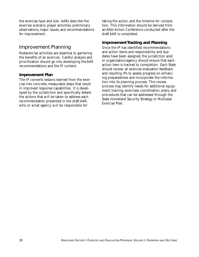<span id="page-35-0"></span>the exercise type and size. AARs describe the exercise scenario, player activities, preliminary observations, major issues, and recommendations for improvement.

### Improvement Planning

Postexercise activities are essential to garnering the benefits of an exercise. Careful analysis and prioritization should go into developing the AAR recommendations and the IP content.

#### **Improvement Plan**

The IP converts lessons learned from the exercise into concrete, measurable steps that result in improved response capabilities. It is developed by the jurisdiction and specifically details the actions that will be taken to address each recommendation presented in the draft AAR, who or what agency will be responsible for

taking the action, and the timeline for completion. This information should be derived from an After Action Conference conducted after the draft AAR is completed.

#### **Improvement Tracking and Planning**

Once the IP has identified recommendations and action items and responsibility and due dates have been assigned, the jurisdiction and/ or organization/agency should ensure that each action item is tracked to completion. Each State should review all exercise evaluation feedback and resulting IPs to assess progress on enhancing preparedness and incorporate the information into its planning process. This review process may identify needs for additional equipment, training, exercises, coordination, plans, and procedures that can be addressed through the State Homeland Security Strategy or Multiyear Exercise Plan.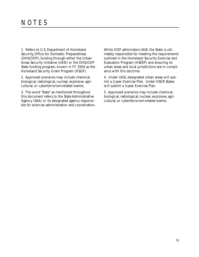<span id="page-36-0"></span>1. Refers to U.S. Department of Homeland Security, Office for Domestic Preparedness (DHS/ODP), funding through either the Urban Areas Security Initiative (UASI) or the DHS/ODP State funding program, known in FY 2004 as the Homeland Security Grant Program (HSGP).

2. Approved scenarios may include chemical, biological, radiological, nuclear, explosive, agricultural, or cyberterrorism-related events.

3. The word "State" as mentioned throughout this document refers to the State Administrative Agency (SAA) or its designated agency responsible for exercise administration and coordination. While ODP administers UASI, the State is ultimately responsible for meeting the requirements outlined in the Homeland Security Exercise and Evaluation Program (HSEEP) and ensuring its urban areas and local jurisdictions are in compliance with this doctrine.

4. Under UASI, designated urban areas will submit a 2-year Exercise Plan. Under HSGP, States will submit a 3-year Exercise Plan.

5. Approved scenarios may include chemical, biological, radiological, nuclear, explosive, agricultural, or cyberterrorism-related events.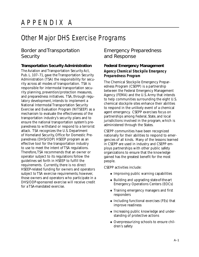# <span id="page-37-0"></span>Other Major DHS Exercise Programs

# Border and Transportation **Security**

#### **Transportation Security Administration**

The Aviation and Transportation Security Act, Pub. L. 107–71, gave the Transportation Security Administration (TSA) the responsibility for security across all modes of transportation. TSA is responsible for intermodal transportation security planning, prevention/protection measures, and preparedness initiatives. TSA, through regulatory development, intends to implement a National Intermodal Transportation Security Exercise and Evaluation Program (NITSEEP) as a mechanism to evaluate the effectiveness of the transportation industry's security plans and to ensure the national transportation system's preparedness to withstand or respond to a terrorist attack. TSA recognizes the U.S. Department of Homeland Security, Office for Domestic Preparedness (DHS/ODP) HSEEP program as an effective tool for the transportation industry to use to meet the intent of TSA regulations. Therefore,TSA recommends that an owner or operator subject to its regulations follow the guidelines set forth in HSEEP to fulfill the requirements. Currently, there is no direct HSEEP-related funding for owners and operators subject to TSA exercise requirements; however, those owners and operators who participate in a DHS/ODP-sponsored exercise will receive credit for a TSA-mandated exercise.

# Emergency Preparedness and Response

#### **Federal Emergency Management Agency Chemical Stockpile Emergency Preparedness Program**

The Chemical Stockpile Emergency Preparedness Program (CSEPP) is a partnership between the Federal Emergency Management Agency (FEMA) and the U.S. Army that intends to help communities surrounding the eight U.S. chemical stockpile sites enhance their abilities to respond in the unlikely event of a chemical agent emergency. CSEPP exercises focus on partnerships among Federal, State, and local jurisdictions involved in the program, which is administered through the States.

CSEPP communities have been recognized nationally for their abilities to respond to emergencies of all kinds. Many of the lessons learned in CSEPP are used in industry and CSEPP employs partnerships with other public safety organizations to ensure that the knowledge gained has the greatest benefit for the most people.

CSEPP activities include:

- ♦ Improving public warning capabilities
- ♦ Building and upgrading state-of-the-art Emergency Operations Centers (EOCs)
- ♦ Training emergency managers and first responders
- ♦ Including functional exercises (FEs) that improve readiness
- ♦ Increasing public knowledge and understanding of protective actions
- ♦ Overpressurizing schools to ensure children's safety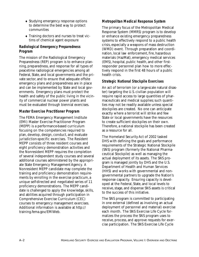- ♦ Studying emergency response options to determine the best way to protect communities
- ♦ Training doctors and nurses to treat victims of chemical agent exposure

#### **Radiological Emergency Preparedness Program**

The mission of the Radiological Emergency Preparedness (REP) program is to enhance planning, preparedness, and response for all types of peacetime radiological emergencies among all Federal, State, and local governments and the private sector, and to ensure that adequate offsite emergency plans and preparedness are in place and can be implemented by State and local governments. Emergency plans must protect the health and safety of the public living in the vicinity of commercial nuclear power plants and must be evaluated through biennial exercises.

#### **Master Exercise Practitioner Program**

The FEMA Emergency Management Institute (EMI) Master Exercise Practitioner Program (MEPP) is a performance-based curriculum focusing on the competencies required to plan, develop, design, conduct, and evaluate jurisdiction-specific exercises. The Resident MEPP consists of three resident courses and eight proficiency demonstration activities and the Nonresident MEPP requires the completion of several independent study courses and several additional courses administered by the appropriate State Emergency Management Agency. A Nonresident MEPP candidate may complete the training and proficiency demonstration requirements by enrolling in the exercise practicum, a unique self-directed and -negotiated series of 11 proficiency demonstrations. The MEPP candidate is challenged to apply the knowledge, skills, and abilities acquired through participation in Comprehensive Exercise Curriculum (CEC) courses to emergency management exercises. Additional information is available at http:// training.fema.gov/EMIWeb.

#### **Metropolitan Medical Response System**

The primary focus of the Metropolitan Medical Response System (MMRS) program is to develop or enhance existing emergency preparedness systems to effectively respond to a public health crisis, especially a weapons of mass destruction (WMD) event. Through preparation and coordination, local law enforcement, fire, hazardous materials (HazMat), emergency medical services (EMS), hospital, public health, and other firstresponder personnel plan how to more effectively respond in the first 48 hours of a public health crisis.

#### **Strategic National Stockpile Exercises**

An act of terrorism (or a large-scale natural disaster) targeting the U.S. civilian population will require rapid access to large quantities of pharmaceuticals and medical supplies; such quantities may not be readily available unless special stockpiles are created. No one can anticipate exactly where a terrorist will strike and few State or local governments have the resources to create sufficient stockpiles on their own. Therefore, a national stockpile has been created as a resource for all.

The Homeland Security Act of 2002 tasked DHS with defining the goals and performance requirements of the Strategic National Stockpile (SNS) program (formerly the National Pharmaceutical Stockpile) as well as managing the actual deployment of its assets. The SNS program is managed jointly by DHS and the U.S. Department of Health and Human Services (HHS) and works with governmental and nongovernmental partners to upgrade the Nation's response capacity. Ensuring capacity is developed at the Federal, State, and local levels to receive, stage, and dispense SNS assets is critical to the success of this initiative.

The SNS program is committed to participating in one external (defined as involving an actual deployment of personnel and material) exercise each month. The SNS Exercise Life Cycle formalizes the process the SNS program uses to receive, process, and approve requests for exercise participation. The SNS Exercise Life Cycle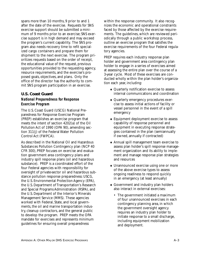spans more than 10 months, 9 prior to and 1 after the date of the exercise. Requests for SNS exercise support should be submitted a minimum of 9 months prior to an exercise; SNS exercise support is in high demand and may exceed the program's current capability. The SNS program also needs recovery time to refit specialized cargo containers and prepare them for shipment to the next exercise. The program prioritizes requests based on the order of receipt, the educational value of the request, previous opportunities provided to the requesting agency, resource requirements, and the exercise's proposed goals, objectives, and plans. Only the office of the director has the authority to commit SNS program participation in an exercise.

#### **U.S. Coast Guard**

#### **National Preparedness for Response Exercise Program**

The U.S. Coast Guard (USCG) National Preparedness for Response Exercise Program (PREP) establishes an exercise program that meets the intent of section 4202(a) of the Oil Pollution Act of 1990 (OPA 90), amending section 311(j) of the Federal Water Pollution Control Act (FWPCA).

As described in the National Oil and Hazardous Substances Pollution Contingency plan (NCP 40 CFR 300), PREP focuses on exercise and evaluation government area contingency plans and industry spill response plans (oil and hazardous substance). PREP is a coordinated effort of the four Federal agencies with responsibility for oversight of private-sector oil and hazardous substance pollution response preparedness: USCG, the U.S. Environmental Protection Agency (EPA), the U.S. Department of Transportation's Research and Special Programs Administration (RSPA), and the U.S. Department of the Interior's Minerals Management Service (MMS). These agencies worked with Federal, State, and local governments, the oil and marine transportation industry, cleanup contractors, and the general public to develop the program. PREP meets the OPA mandate for exercises and represents minimum guidelines for ensuring overall preparedness

within the response community. It also recognizes the economic and operational constraints faced by those affected by the exercise requirements. The guidelines, which are reviewed periodically through a public workshop process, outline an exercise program that satisfies the exercise requirements of the four Federal regulatory agencies.

PREP requires each industry response plan holder and government area contingency plan holder to engage in a series of exercises aimed at assessing the entire plan over the course of a 3-year cycle. Most of these exercises are conducted wholly within the plan holder's organization each year, including:

- ♦ Quarterly notification exercise to assess internal communications and coordination
- ♦ Quarterly emergency procedures exercise to assess initial actions of facility or vessel personnel in the event of a spill emergency
- ♦ Equipment deployment exercise to assess capability of response personnel and equipment in executing response strategies contained in the plan (semiannually if owned, annually if contracted)
- ♦ Annual spill management team exercise to assess plan holder's spill response management organization and its ability to implement and manage response plan strategies and resources
- ♦ Unannounced exercise using one or more of the above exercise types to assess ongoing readiness to respond quickly in an emergency (at least annually)
- ♦ Government and industry plan holders also interact in external exercises:
	- The government initiated a maximum of four unannounced exercises in each contingency planning area, in which the government oversight agency requires an industry plan holder to initiate response to a small discharge, including equipment mobilization and deployment.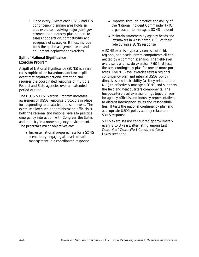• Once every 3 years each USCG and EPA contingency planning area holds an area exercise involving major joint government and industry plan holders to assess cooperation, compatibility, and adequacy of strategies. It must include both the spill management team and equipment deployment exercises.

#### **Spill of National Significance Exercise Program**

A Spill of National Significance (SONS) is a rare catastrophic oil or hazardous substance spill event that captures national attention and requires the coordinated response of multiple Federal and State agencies over an extended period of time.

The USCG SONS Exercise Program increases awareness of USCG response protocols in place for responding to a catastrophic spill event. The exercise allows senior administration officials at both the regional and national levels to practice emergency interaction with Congress, the States, and industry in a nonemergency environment. The program's major objectives are:

♦ Increase national preparedness for a SONS scenario by engaging all levels of spill management in a coordinated response

- ♦ Improve, through practice, the ability of the National Incident Commander (NIC) organization to manage a SONS incident
- ♦ Maintain awareness by agency heads and lawmakers in Washington, D.C., of their role during a SONS response

A SONS exercise typically consists of field, regional, and headquarters components all connected by a common scenario. The field-level exercise is a full-scale exercise (FSE) that tests the area contingency plan for one or more port areas. The NIC-level exercise tests a regional contingency plan and internal USCG policy directives and their ability (as they relate to the NIC) to effectively manage a SONS, and supports the field and headquarters components. The headquarters-level exercise brings together senior agency officials and industry representatives to discuss interagency issues and responsibilities. It tests the national contingency plan and appropriate USCG policy as they relate to a SONS response.

SONS exercises are conducted approximately every 2 to 3 years, alternating among East Coast, Gulf Coast, West Coast, and Great Lakes scenarios.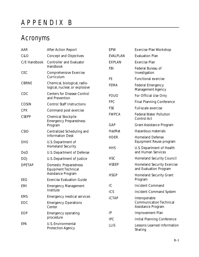# <span id="page-41-0"></span>APPENDIX B

# Acronyms

| AAR                 | <b>After Action Report</b>                                     | <b>EPW</b>      | <b>Exercise Plan Workshop</b>                               |
|---------------------|----------------------------------------------------------------|-----------------|-------------------------------------------------------------|
| C&O                 | <b>Concept and Objectives</b>                                  | <b>EVALPLAN</b> | <b>Evaluation Plan</b>                                      |
| <b>C/E Handbook</b> | <b>Controller and Evaluator</b>                                | <b>EXPLAN</b>   | <b>Exercise Plan</b>                                        |
| <b>CEC</b>          | <b>Handbook</b><br><b>Comprehensive Exercise</b>               | <b>FBI</b>      | <b>Federal Bureau of</b><br>Investigation                   |
|                     | Curriculum                                                     | FE              | <b>Functional exercise</b>                                  |
| <b>CBRNE</b>        | Chemical, biological, radio-<br>logical, nuclear, or explosive | <b>FEMA</b>     | <b>Federal Emergency</b><br><b>Management Agency</b>        |
| <b>CDC</b>          | <b>Centers for Disease Control</b><br>and Prevention           | <b>FOUO</b>     | For Official Use Only                                       |
| <b>COSIN</b>        | <b>Control Staff Instructions</b>                              | <b>FPC</b>      | <b>Final Planning Conference</b>                            |
| <b>CPX</b>          | Command post exercise                                          | <b>FSE</b>      | <b>Full-scale exercise</b>                                  |
| <b>CSEPP</b>        | <b>Chemical Stockpile</b><br><b>Emergency Preparedness</b>     | <b>FWPCA</b>    | <b>Federal Water Pollution</b><br><b>Control Act</b>        |
|                     | Program                                                        | <b>GAP</b>      | <b>Grant Assistance Program</b>                             |
| <b>CSID</b>         | <b>Centralized Scheduling and</b>                              | HazMat          | <b>Hazardous materials</b>                                  |
| <b>DHS</b>          | <b>Information Desk</b><br>U.S. Department of                  | <b>HDER</b>     | <b>Homeland Defense</b><br><b>Equipment Reuse program</b>   |
|                     | <b>Homeland Security</b>                                       | <b>HHS</b>      | <b>U.S. Department of Health</b>                            |
| DoD                 | <b>U.S. Department of Defense</b>                              |                 | and Human Services                                          |
| <b>DOJ</b>          | <b>U.S. Department of Justice</b>                              | <b>HSC</b>      | <b>Homeland Security Council</b>                            |
| <b>DPETAP</b>       | <b>Domestic Preparedness</b><br><b>Equipment Technical</b>     | <b>HSEEP</b>    | <b>Homeland Security Exercise</b><br>and Evaluation Program |
| <b>EEG</b>          | <b>Assistance Program</b><br><b>Exercise Evaluation Guide</b>  | <b>HSGP</b>     | <b>Homeland Security Grant</b><br>Program                   |
| <b>EMI</b>          | <b>Emergency Management</b><br>Institute                       | IC              | <b>Incident Command</b>                                     |
|                     |                                                                | <b>ICS</b>      | <b>Incident Command System</b>                              |
| <b>EMS</b>          | <b>Emergency medical services</b>                              | <b>ICTAP</b>    | Interoperable                                               |
| <b>EOC</b>          | <b>Emergency Operations</b><br><b>Center</b>                   |                 | <b>Communication Technical</b><br><b>Assistance Program</b> |
| <b>EOP</b>          | <b>Emergency operating</b><br>procedure                        | IP              | <b>Improvement Plan</b>                                     |
|                     |                                                                | <b>IPC</b>      | <b>Initial Planning Conference</b>                          |
| <b>EPA</b>          | <b>U.S. Environmental</b><br><b>Protection Agency</b>          | <b>LLIS</b>     | <b>Lessons Learned Information</b><br><b>Sharing</b>        |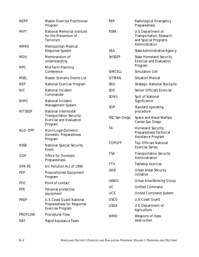| <b>MEPP</b>    | <b>Master Exercise Practitioner</b><br>Program                                                  | <b>REP</b>           | <b>Radiological Emergency</b><br>Preparedness                                          |
|----------------|-------------------------------------------------------------------------------------------------|----------------------|----------------------------------------------------------------------------------------|
| <b>MIPT</b>    | <b>National Memorial Institute</b><br>for the Prevention of<br><b>Terrorism</b>                 | <b>RSPA</b>          | U.S. Department of<br><b>Transportation, Research</b><br>and Special Programs          |
| <b>MMRS</b>    | <b>Metropolitan Medical</b><br><b>Response System</b>                                           | <b>SAA</b>           | Administration<br><b>State Administrative Agency</b>                                   |
| <b>MOU</b>     | Memorandum of<br>understanding                                                                  | <b>SHSEEP</b>        | <b>State Homeland Security</b><br><b>Exercise and Evaluation</b>                       |
| <b>MPC</b>     | <b>Mid-Term Planning</b><br>Conference                                                          | <b>SIMCELL</b>       | Program<br><b>Simulation Cell</b>                                                      |
| <b>MSEL</b>    | <b>Master Scenario Events List</b>                                                              | <b>SITMAN</b>        | <b>Situation Manual</b>                                                                |
| <b>NEP</b>     | <b>National Exercise Program</b>                                                                | <b>SNS</b>           | <b>Strategic National Stockpile</b>                                                    |
| <b>NIC</b>     | <b>National Incident</b>                                                                        | <b>SOE</b>           | <b>Senior Officials Exercise</b>                                                       |
| <b>NIMS</b>    | Commander<br><b>National Incident</b>                                                           | <b>SONS</b>          | <b>Spill of National</b><br>Significance                                               |
|                | <b>Management System</b>                                                                        | <b>SOP</b>           | <b>Standard operating</b>                                                              |
| <b>NITSEEP</b> | <b>National Intermodal</b><br><b>Transportation Security</b><br><b>Exercise and Evaluation</b>  | <b>SSC San Diego</b> | procedure<br><b>Space and Naval Warfare</b><br><b>Center-San Diego</b>                 |
| NLD-DPP        | Program<br>Nunn-Lugar-Domenici<br><b>Domestic Preparedness</b><br>Program                       | <b>TA</b>            | <b>Homeland Security</b><br><b>Preparedness Technical</b><br><b>Assistance Program</b> |
| <b>NSSE</b>    | <b>National Special Security</b><br><b>Event</b>                                                | <b>TOPOFF</b>        | <b>Top Officials National</b><br><b>Exercise Series</b>                                |
| <b>ODP</b>     | <b>Office for Domestic</b><br>Preparedness                                                      | <b>TSA</b>           | <b>Transportation Security</b><br>Administration                                       |
| <b>OPA 90</b>  | Oil Pollution Act of 1990                                                                       | <b>TTX</b>           | Tabletop exercise                                                                      |
| <b>PEP</b>     | <b>Prepositioned Equipment</b><br>Program                                                       | <b>UASI</b>          | <b>Urban Areas Security</b><br>Initiative                                              |
| <b>POC</b>     | Point of contact                                                                                | <b>UAWG</b>          | <b>Urban Area Working Group</b>                                                        |
| <b>PPE</b>     | Personal protective                                                                             | <b>UC</b>            | <b>Unified Command</b>                                                                 |
|                | equipment                                                                                       | <b>UCS</b>           | <b>United Command System</b>                                                           |
| <b>PREP</b>    | <b>U.S. Coast Guard National</b><br><b>Preparedness for Response</b><br><b>Exercise Program</b> | <b>USCG</b>          | <b>U.S. Coast Guard</b>                                                                |
|                |                                                                                                 | <b>USDA</b>          | U.S. Department of<br><b>Agriculture</b>                                               |
| <b>PROFLOW</b> | <b>Procedural Flow</b>                                                                          | <b>WMD</b>           | <b>Weapons of mass</b>                                                                 |
| <b>RAT</b>     | <b>Rapid Assistance Team</b>                                                                    |                      | destruction                                                                            |